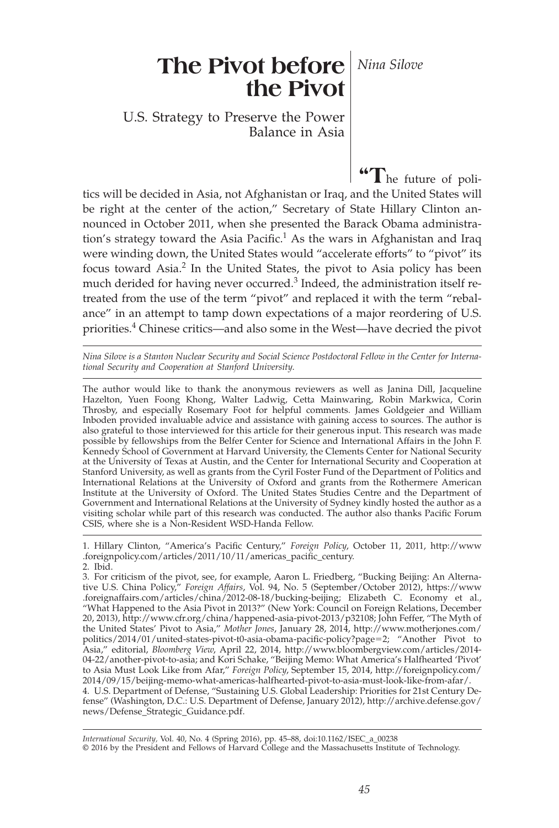# **The Pivot before** *Nina Silove* **the Pivot**

U.S. Strategy to Preserve the Power Balance in Asia

**"T**he future of politics will be decided in Asia, not Afghanistan or Iraq, and the United States will be right at the center of the action," Secretary of State Hillary Clinton announced in October 2011, when she presented the Barack Obama administration's strategy toward the Asia Pacific.<sup>1</sup> As the wars in Afghanistan and Iraq were winding down, the United States would "accelerate efforts" to "pivot" its focus toward Asia.<sup>2</sup> In the United States, the pivot to Asia policy has been much derided for having never occurred.<sup>3</sup> Indeed, the administration itself retreated from the use of the term "pivot" and replaced it with the term "rebalance" in an attempt to tamp down expectations of a major reordering of U.S. priorities.<sup>4</sup> Chinese critics—and also some in the West—have decried the pivot

*Nina Silove is a Stanton Nuclear Security and Social Science Postdoctoral Fellow in the Center for International Security and Cooperation at Stanford University*.

The author would like to thank the anonymous reviewers as well as Janina Dill, Jacqueline Hazelton, Yuen Foong Khong, Walter Ladwig, Cetta Mainwaring, Robin Markwica, Corin Throsby, and especially Rosemary Foot for helpful comments. James Goldgeier and William Inboden provided invaluable advice and assistance with gaining access to sources. The author is also grateful to those interviewed for this article for their generous input. This research was made possible by fellowships from the Belfer Center for Science and International Affairs in the John F. Kennedy School of Government at Harvard University, the Clements Center for National Security at the University of Texas at Austin, and the Center for International Security and Cooperation at Stanford University, as well as grants from the Cyril Foster Fund of the Department of Politics and International Relations at the University of Oxford and grants from the Rothermere American Institute at the University of Oxford. The United States Studies Centre and the Department of Government and International Relations at the University of Sydney kindly hosted the author as a visiting scholar while part of this research was conducted. The author also thanks Pacific Forum CSIS, where she is a Non-Resident WSD-Handa Fellow.

1. Hillary Clinton, "America's Pacific Century," *Foreign Policy*, October 11, 2011, http://www .foreignpolicy.com/articles/2011/10/11/americas\_pacific\_century.

*International Security,* Vol. 40, No. 4 (Spring 2016), pp. 45–88, doi:10.1162/ISEC\_a\_00238 © 2016 by the President and Fellows of Harvard College and the Massachusetts Institute of Technology.

<sup>2.</sup> Ibid.

<sup>3.</sup> For criticism of the pivot, see, for example, Aaron L. Friedberg, "Bucking Beijing: An Alternative U.S. China Policy," *Foreign Affairs*, Vol. 94, No. 5 (September/October 2012), https://www .foreignaffairs.com/articles/china/2012-08-18/bucking-beijing; Elizabeth C. Economy et al., "What Happened to the Asia Pivot in 2013?" (New York: Council on Foreign Relations, December 20, 2013), http://www.cfr.org/china/happened-asia-pivot-2013/p32108; John Feffer, "The Myth of the United States' Pivot to Asia," *Mother Jones*, January 28, 2014, http://www.motherjones.com/ politics/2014/01/united-states-pivot-t0-asia-obama-pacific-policy?page=2; "Another Pivot to Asia," editorial, *Bloomberg View*, April 22, 2014, http://www.bloombergview.com/articles/2014- 04-22/another-pivot-to-asia; and Kori Schake, "Beijing Memo: What America's Halfhearted 'Pivot' to Asia Must Look Like from Afar," *Foreign Policy*, September 15, 2014, http://foreignpolicy.com/ 2014/09/15/beijing-memo-what-americas-halfhearted-pivot-to-asia-must-look-like-from-afar/. 4. U.S. Department of Defense, "Sustaining U.S. Global Leadership: Priorities for 21st Century Defense" (Washington, D.C.: U.S. Department of Defense, January 2012), http://archive.defense.gov/ news/Defense\_Strategic\_Guidance.pdf.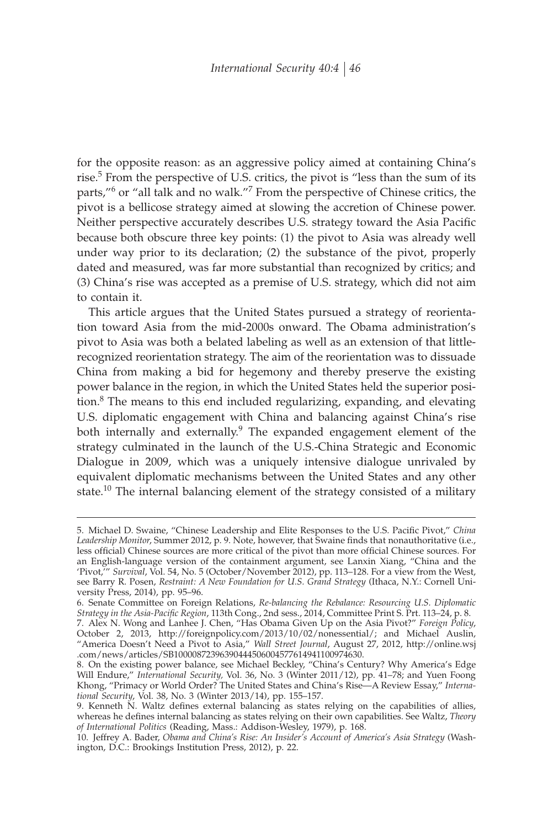for the opposite reason: as an aggressive policy aimed at containing China's rise.<sup>5</sup> From the perspective of U.S. critics, the pivot is "less than the sum of its parts,"<sup>6</sup> or "all talk and no walk."7 From the perspective of Chinese critics, the pivot is a bellicose strategy aimed at slowing the accretion of Chinese power. Neither perspective accurately describes U.S. strategy toward the Asia Pacific because both obscure three key points: (1) the pivot to Asia was already well under way prior to its declaration; (2) the substance of the pivot, properly dated and measured, was far more substantial than recognized by critics; and (3) China's rise was accepted as a premise of U.S. strategy, which did not aim to contain it.

This article argues that the United States pursued a strategy of reorientation toward Asia from the mid-2000s onward. The Obama administration's pivot to Asia was both a belated labeling as well as an extension of that littlerecognized reorientation strategy. The aim of the reorientation was to dissuade China from making a bid for hegemony and thereby preserve the existing power balance in the region, in which the United States held the superior position.<sup>8</sup> The means to this end included regularizing, expanding, and elevating U.S. diplomatic engagement with China and balancing against China's rise both internally and externally.<sup>9</sup> The expanded engagement element of the strategy culminated in the launch of the U.S.-China Strategic and Economic Dialogue in 2009, which was a uniquely intensive dialogue unrivaled by equivalent diplomatic mechanisms between the United States and any other state.<sup>10</sup> The internal balancing element of the strategy consisted of a military

<sup>5.</sup> Michael D. Swaine, "Chinese Leadership and Elite Responses to the U.S. Pacific Pivot," China Leadership Monitor, Summer 2012, p. 9. Note, however, that Swaine finds that nonauthoritative (i.e., less official) Chinese sources are more critical of the pivot than more official Chinese sources. For an English-language version of the containment argument, see Lanxin Xiang, "China and the 'Pivot,'" *Survival*, Vol. 54, No. 5 (October/November 2012), pp. 113–128. For a view from the West, see Barry R. Posen, *Restraint: A New Foundation for U.S. Grand Strategy* (Ithaca, N.Y.: Cornell University Press, 2014), pp. 95-96.

<sup>6.</sup> Senate Committee on Foreign Relations, *Re-balancing the Rebalance: Resourcing U.S. Diplomatic Strategy in the Asia-Paciªc Region*, 113th Cong., 2nd sess., 2014, Committee Print S. Prt. 113–24, p. 8.

<sup>7.</sup> Alex N. Wong and Lanhee J. Chen, "Has Obama Given Up on the Asia Pivot?" *Foreign Policy*, October 2, 2013, http://foreignpolicy.com/2013/10/02/nonessential/; and Michael Auslin, "America Doesn't Need a Pivot to Asia," *Wall Street Journal*, August 27, 2012, http://online.wsj .com/news/articles/SB10000872396390444506004577614941100974630.

<sup>8.</sup> On the existing power balance, see Michael Beckley, "China's Century? Why America's Edge Will Endure," *International Security,* Vol. 36, No. 3 (Winter 2011/12), pp. 41–78; and Yuen Foong Khong, "Primacy or World Order? The United States and China's Rise—A Review Essay," *International Security*, Vol. 38, No. 3 (Winter 2013/14), pp. 155–157.

<sup>9.</sup> Kenneth N. Waltz defines external balancing as states relying on the capabilities of allies, whereas he defines internal balancing as states relying on their own capabilities. See Waltz, *Theory of International Politics* (Reading, Mass.: Addison-Wesley, 1979), p. 168.

<sup>10.</sup> Jeffrey A. Bader, *Obama and China's Rise: An Insider's Account of America's Asia Strategy* (Washington, D.C.: Brookings Institution Press, 2012), p. 22.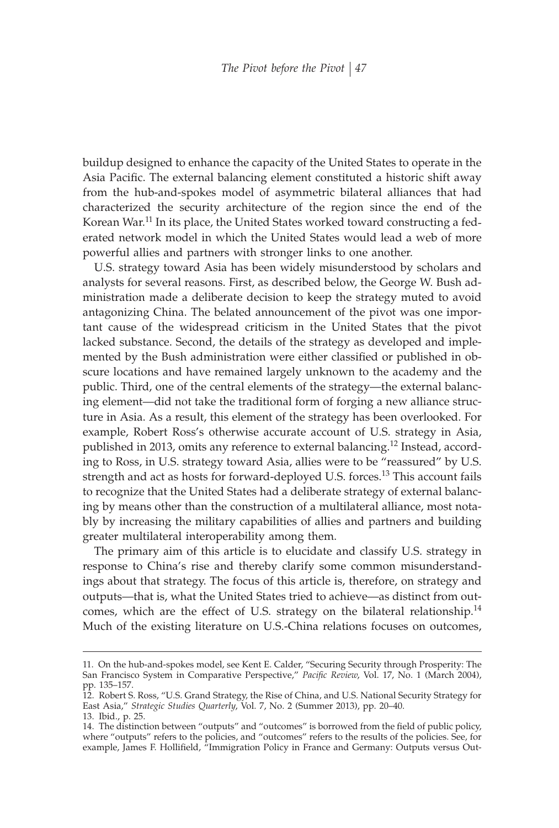buildup designed to enhance the capacity of the United States to operate in the Asia Pacific. The external balancing element constituted a historic shift away from the hub-and-spokes model of asymmetric bilateral alliances that had characterized the security architecture of the region since the end of the Korean War.<sup>11</sup> In its place, the United States worked toward constructing a federated network model in which the United States would lead a web of more powerful allies and partners with stronger links to one another.

U.S. strategy toward Asia has been widely misunderstood by scholars and analysts for several reasons. First, as described below, the George W. Bush administration made a deliberate decision to keep the strategy muted to avoid antagonizing China. The belated announcement of the pivot was one important cause of the widespread criticism in the United States that the pivot lacked substance. Second, the details of the strategy as developed and implemented by the Bush administration were either classified or published in obscure locations and have remained largely unknown to the academy and the public. Third, one of the central elements of the strategy—the external balancing element—did not take the traditional form of forging a new alliance structure in Asia. As a result, this element of the strategy has been overlooked. For example, Robert Ross's otherwise accurate account of U.S. strategy in Asia, published in 2013, omits any reference to external balancing.<sup>12</sup> Instead, according to Ross, in U.S. strategy toward Asia, allies were to be "reassured" by U.S. strength and act as hosts for forward-deployed U.S. forces.<sup>13</sup> This account fails to recognize that the United States had a deliberate strategy of external balancing by means other than the construction of a multilateral alliance, most notably by increasing the military capabilities of allies and partners and building greater multilateral interoperability among them.

The primary aim of this article is to elucidate and classify U.S. strategy in response to China's rise and thereby clarify some common misunderstandings about that strategy. The focus of this article is, therefore, on strategy and outputs—that is, what the United States tried to achieve—as distinct from outcomes, which are the effect of U.S. strategy on the bilateral relationship.<sup>14</sup> Much of the existing literature on U.S.-China relations focuses on outcomes,

<sup>11.</sup> On the hub-and-spokes model, see Kent E. Calder, "Securing Security through Prosperity: The San Francisco System in Comparative Perspective," Pacific Review, Vol. 17, No. 1 (March 2004), pp. 135–157.

<sup>12.</sup> Robert S. Ross, "U.S. Grand Strategy, the Rise of China, and U.S. National Security Strategy for East Asia," *Strategic Studies Quarterly*, Vol. 7, No. 2 (Summer 2013), pp. 20–40. 13. Ibid., p. 25.

<sup>14.</sup> The distinction between "outputs" and "outcomes" is borrowed from the field of public policy, where "outputs" refers to the policies, and "outcomes" refers to the results of the policies. See, for example, James F. Hollifield, "Immigration Policy in France and Germany: Outputs versus Out-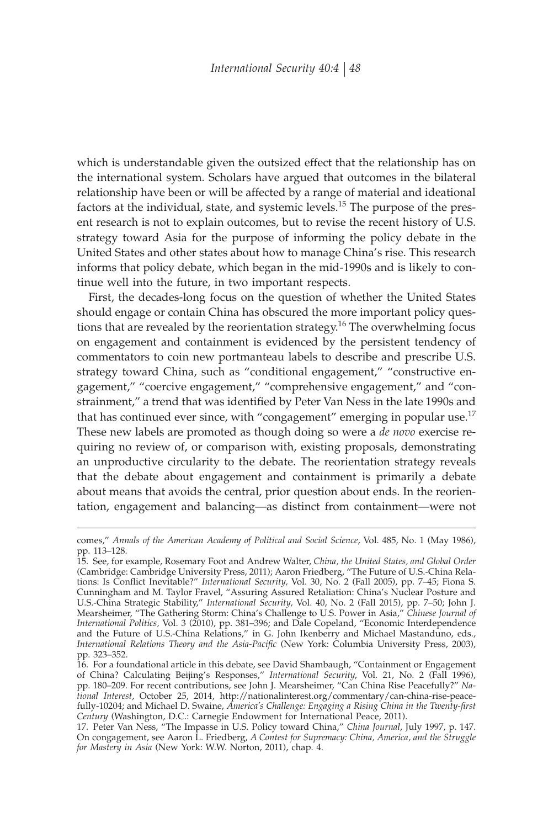which is understandable given the outsized effect that the relationship has on the international system. Scholars have argued that outcomes in the bilateral relationship have been or will be affected by a range of material and ideational factors at the individual, state, and systemic levels.<sup>15</sup> The purpose of the present research is not to explain outcomes, but to revise the recent history of U.S. strategy toward Asia for the purpose of informing the policy debate in the United States and other states about how to manage China's rise. This research informs that policy debate, which began in the mid-1990s and is likely to continue well into the future, in two important respects.

First, the decades-long focus on the question of whether the United States should engage or contain China has obscured the more important policy questions that are revealed by the reorientation strategy.<sup>16</sup> The overwhelming focus on engagement and containment is evidenced by the persistent tendency of commentators to coin new portmanteau labels to describe and prescribe U.S. strategy toward China, such as "conditional engagement," "constructive engagement," "coercive engagement," "comprehensive engagement," and "constrainment," a trend that was identified by Peter Van Ness in the late 1990s and that has continued ever since, with "congagement" emerging in popular use.<sup>17</sup> These new labels are promoted as though doing so were a *de novo* exercise requiring no review of, or comparison with, existing proposals, demonstrating an unproductive circularity to the debate. The reorientation strategy reveals that the debate about engagement and containment is primarily a debate about means that avoids the central, prior question about ends. In the reorientation, engagement and balancing—as distinct from containment—were not

comes," *Annals of the American Academy of Political and Social Science*, Vol. 485, No. 1 (May 1986), pp. 113–128.

<sup>15.</sup> See, for example, Rosemary Foot and Andrew Walter, *China, the United States, and Global Order* (Cambridge: Cambridge University Press, 2011); Aaron Friedberg, "The Future of U.S.-China Relations: Is Conflict Inevitable?" *International Security*, Vol. 30, No. 2 (Fall 2005), pp. 7–45; Fiona S. Cunningham and M. Taylor Fravel, "Assuring Assured Retaliation: China's Nuclear Posture and U.S.-China Strategic Stability," *International Security,* Vol. 40, No. 2 (Fall 2015), pp. 7–50; John J. Mearsheimer, "The Gathering Storm: China's Challenge to U.S. Power in Asia," *Chinese Journal of International Politics,* Vol. 3 (2010), pp. 381–396; and Dale Copeland, "Economic Interdependence and the Future of U.S.-China Relations," in G. John Ikenberry and Michael Mastanduno, eds., *International Relations Theory and the Asia-Pacific* (New York: Columbia University Press, 2003), pp. 323–352.

<sup>16.</sup> For a foundational article in this debate, see David Shambaugh, "Containment or Engagement of China? Calculating Beijing's Responses," *International Security*, Vol. 21, No. 2 (Fall 1996), pp. 180–209. For recent contributions, see John J. Mearsheimer, "Can China Rise Peacefully?" *National Interest*, October 25, 2014, http://nationalinterest.org/commentary/can-china-rise-peacefully-10204; and Michael D. Swaine, *America's Challenge: Engaging a Rising China in the Twenty-first Century* (Washington, D.C.: Carnegie Endowment for International Peace, 2011).

<sup>17.</sup> Peter Van Ness, "The Impasse in U.S. Policy toward China," *China Journal*, July 1997, p. 147. On congagement, see Aaron L. Friedberg, *A Contest for Supremacy: China, America, and the Struggle for Mastery in Asia* (New York: W.W. Norton, 2011), chap. 4.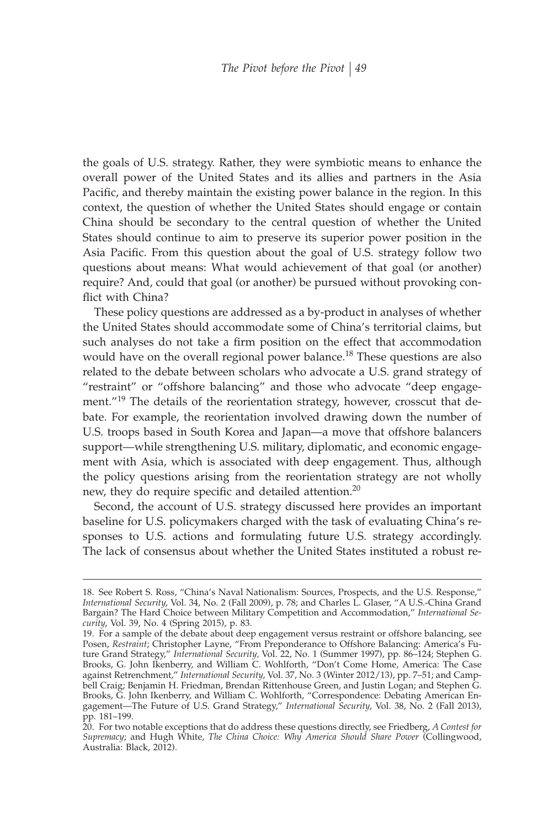the goals of U.S. strategy. Rather, they were symbiotic means to enhance the overall power of the United States and its allies and partners in the Asia Pacific, and thereby maintain the existing power balance in the region. In this context, the question of whether the United States should engage or contain China should be secondary to the central question of whether the United States should continue to aim to preserve its superior power position in the Asia Pacific. From this question about the goal of U.S. strategy follow two questions about means: What would achievement of that goal (or another) require? And, could that goal (or another) be pursued without provoking conflict with China?

These policy questions are addressed as a by-product in analyses of whether the United States should accommodate some of China's territorial claims, but such analyses do not take a firm position on the effect that accommodation would have on the overall regional power balance.<sup>18</sup> These questions are also related to the debate between scholars who advocate a U.S. grand strategy of "restraint" or "offshore balancing" and those who advocate "deep engagement."<sup>19</sup> The details of the reorientation strategy, however, crosscut that debate. For example, the reorientation involved drawing down the number of U.S. troops based in South Korea and Japan—a move that offshore balancers support—while strengthening U.S. military, diplomatic, and economic engagement with Asia, which is associated with deep engagement. Thus, although the policy questions arising from the reorientation strategy are not wholly new, they do require specific and detailed attention.<sup>20</sup>

Second, the account of U.S. strategy discussed here provides an important baseline for U.S. policymakers charged with the task of evaluating China's responses to U.S. actions and formulating future U.S. strategy accordingly. The lack of consensus about whether the United States instituted a robust re-

<sup>18.</sup> See Robert S. Ross, "China's Naval Nationalism: Sources, Prospects, and the U.S. Response," *International Security*, Vol. 34, No. 2 (Fall 2009), p. 78; and Charles L. Glaser, "A U.S.-China Grand Bargain? The Hard Choice between Military Competition and Accommodation," *International Security*, Vol. 39, No. 4 (Spring 2015), p. 83.

<sup>19.</sup> For a sample of the debate about deep engagement versus restraint or offshore balancing, see Posen, *Restraint*; Christopher Layne, "From Preponderance to Offshore Balancing: America's Future Grand Strategy," *International Security,* Vol. 22, No. 1 (Summer 1997), pp. 86–124; Stephen G. Brooks, G. John Ikenberry, and William C. Wohlforth, "Don't Come Home, America: The Case against Retrenchment," *International Security*, Vol. 37, No. 3 (Winter 2012/13), pp. 7–51; and Campbell Craig; Benjamin H. Friedman, Brendan Rittenhouse Green, and Justin Logan; and Stephen G. Brooks, G. John Ikenberry, and William C. Wohlforth, "Correspondence: Debating American Engagement—The Future of U.S. Grand Strategy," *International Security*, Vol. 38, No. 2 (Fall 2013), pp. 181–199.

<sup>20.</sup> For two notable exceptions that do address these questions directly, see Friedberg, *A Contest for Supremacy*; and Hugh White, *The China Choice: Why America Should Share Power* (Collingwood, Australia: Black, 2012).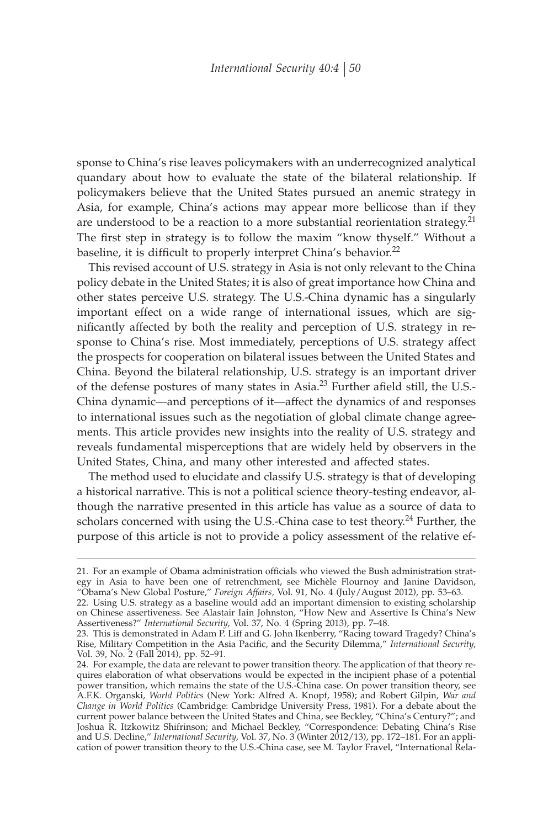sponse to China's rise leaves policymakers with an underrecognized analytical quandary about how to evaluate the state of the bilateral relationship. If policymakers believe that the United States pursued an anemic strategy in Asia, for example, China's actions may appear more bellicose than if they are understood to be a reaction to a more substantial reorientation strategy.<sup>21</sup> The first step in strategy is to follow the maxim "know thyself." Without a baseline, it is difficult to properly interpret China's behavior.<sup>22</sup>

This revised account of U.S. strategy in Asia is not only relevant to the China policy debate in the United States; it is also of great importance how China and other states perceive U.S. strategy. The U.S.-China dynamic has a singularly important effect on a wide range of international issues, which are significantly affected by both the reality and perception of U.S. strategy in response to China's rise. Most immediately, perceptions of U.S. strategy affect the prospects for cooperation on bilateral issues between the United States and China. Beyond the bilateral relationship, U.S. strategy is an important driver of the defense postures of many states in Asia.<sup>23</sup> Further afield still, the U.S.-China dynamic—and perceptions of it—affect the dynamics of and responses to international issues such as the negotiation of global climate change agreements. This article provides new insights into the reality of U.S. strategy and reveals fundamental misperceptions that are widely held by observers in the United States, China, and many other interested and affected states.

The method used to elucidate and classify U.S. strategy is that of developing a historical narrative. This is not a political science theory-testing endeavor, although the narrative presented in this article has value as a source of data to scholars concerned with using the U.S.-China case to test theory.<sup>24</sup> Further, the purpose of this article is not to provide a policy assessment of the relative ef-

<sup>21.</sup> For an example of Obama administration officials who viewed the Bush administration strategy in Asia to have been one of retrenchment, see Michèle Flournoy and Janine Davidson, "Obama's New Global Posture," *Foreign Affairs,* Vol. 91, No. 4 (July/August 2012), pp. 53–63.

<sup>22.</sup> Using U.S. strategy as a baseline would add an important dimension to existing scholarship on Chinese assertiveness. See Alastair Iain Johnston, "How New and Assertive Is China's New Assertiveness?" *International Security*, Vol. 37, No. 4 (Spring 2013), pp. 7–48.

<sup>23.</sup> This is demonstrated in Adam P. Liff and G. John Ikenberry, "Racing toward Tragedy? China's Rise, Military Competition in the Asia Pacific, and the Security Dilemma," International Security, Vol. 39, No. 2 (Fall 2014), pp. 52–91.

<sup>24.</sup> For example, the data are relevant to power transition theory. The application of that theory requires elaboration of what observations would be expected in the incipient phase of a potential power transition, which remains the state of the U.S.-China case. On power transition theory, see A.F.K. Organski, *World Politics* (New York: Alfred A. Knopf, 1958); and Robert Gilpin, *War and Change in World Politics* (Cambridge: Cambridge University Press, 1981). For a debate about the current power balance between the United States and China, see Beckley, "China's Century?"; and Joshua R. Itzkowitz Shifrinson; and Michael Beckley, "Correspondence: Debating China's Rise and U.S. Decline," *International Security*, Vol. 37, No. 3 (Winter 2012/13), pp. 172–181. For an application of power transition theory to the U.S.-China case, see M. Taylor Fravel, "International Rela-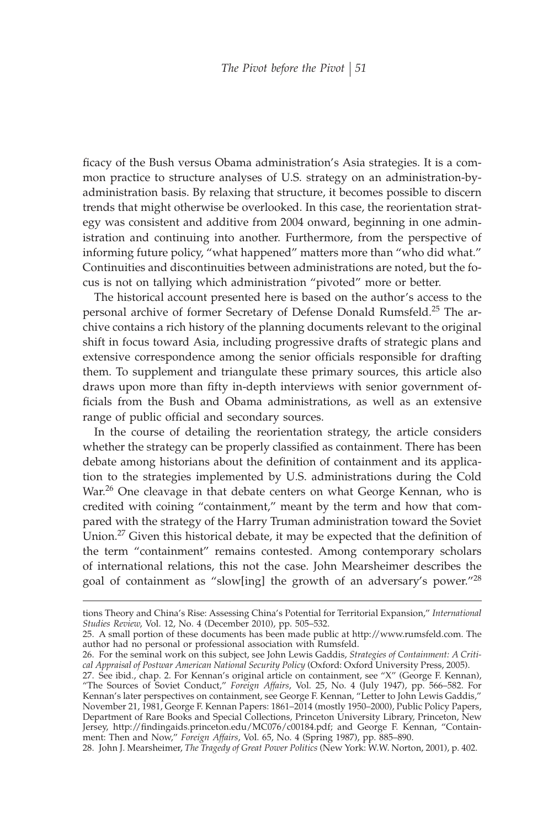ficacy of the Bush versus Obama administration's Asia strategies. It is a common practice to structure analyses of U.S. strategy on an administration-byadministration basis. By relaxing that structure, it becomes possible to discern trends that might otherwise be overlooked. In this case, the reorientation strategy was consistent and additive from 2004 onward, beginning in one administration and continuing into another. Furthermore, from the perspective of informing future policy, "what happened" matters more than "who did what." Continuities and discontinuities between administrations are noted, but the focus is not on tallying which administration "pivoted" more or better.

The historical account presented here is based on the author's access to the personal archive of former Secretary of Defense Donald Rumsfeld.<sup>25</sup> The archive contains a rich history of the planning documents relevant to the original shift in focus toward Asia, including progressive drafts of strategic plans and extensive correspondence among the senior officials responsible for drafting them. To supplement and triangulate these primary sources, this article also draws upon more than fifty in-depth interviews with senior government officials from the Bush and Obama administrations, as well as an extensive range of public official and secondary sources.

In the course of detailing the reorientation strategy, the article considers whether the strategy can be properly classified as containment. There has been debate among historians about the definition of containment and its application to the strategies implemented by U.S. administrations during the Cold War.<sup>26</sup> One cleavage in that debate centers on what George Kennan, who is credited with coining "containment," meant by the term and how that compared with the strategy of the Harry Truman administration toward the Soviet Union.<sup>27</sup> Given this historical debate, it may be expected that the definition of the term "containment" remains contested. Among contemporary scholars of international relations, this not the case. John Mearsheimer describes the goal of containment as "slow[ing] the growth of an adversary's power."<sup>28</sup>

tions Theory and China's Rise: Assessing China's Potential for Territorial Expansion," *International Studies Review*, Vol. 12, No. 4 (December 2010), pp. 505–532.

<sup>25.</sup> A small portion of these documents has been made public at http://www.rumsfeld.com. The author had no personal or professional association with Rumsfeld.

<sup>26.</sup> For the seminal work on this subject, see John Lewis Gaddis, *Strategies of Containment: A Critical Appraisal of Postwar American National Security Policy* (Oxford: Oxford University Press, 2005).

<sup>27.</sup> See ibid., chap. 2. For Kennan's original article on containment, see "X" (George F. Kennan), "The Sources of Soviet Conduct," *Foreign Affairs*, Vol. 25, No. 4 (July 1947), pp. 566–582. For Kennan's later perspectives on containment, see George F. Kennan, "Letter to John Lewis Gaddis," November 21, 1981, George F. Kennan Papers: 1861–2014 (mostly 1950–2000), Public Policy Papers, Department of Rare Books and Special Collections, Princeton University Library, Princeton, New Jersey, http://findingaids.princeton.edu/MC076/c00184.pdf; and George F. Kennan, "Containment: Then and Now," *Foreign Affairs*, Vol. 65, No. 4 (Spring 1987), pp. 885–890.

<sup>28.</sup> John J. Mearsheimer, *The Tragedy of Great Power Politics* (New York: W.W. Norton, 2001), p. 402.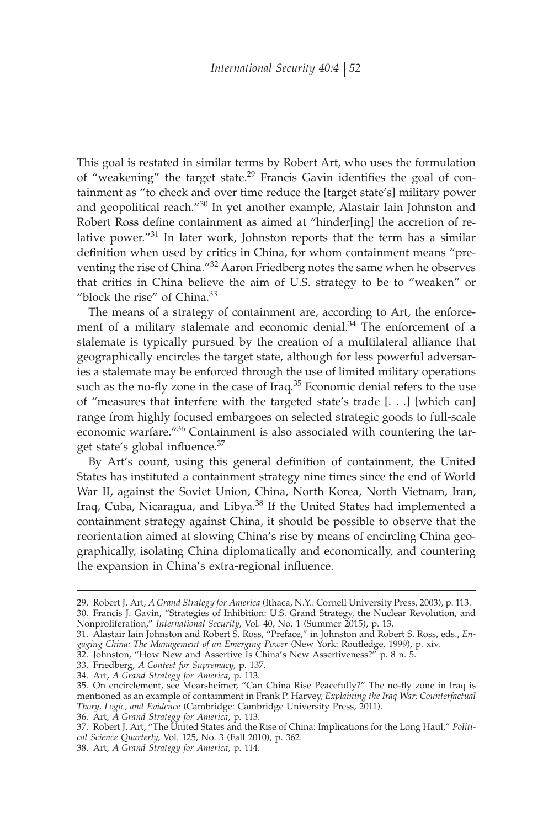This goal is restated in similar terms by Robert Art, who uses the formulation of "weakening" the target state.<sup>29</sup> Francis Gavin identifies the goal of containment as "to check and over time reduce the [target state's] military power and geopolitical reach."<sup>30</sup> In yet another example, Alastair Iain Johnston and Robert Ross define containment as aimed at "hinder[ing] the accretion of relative power."<sup>31</sup> In later work, Johnston reports that the term has a similar definition when used by critics in China, for whom containment means "preventing the rise of China."<sup>32</sup> Aaron Friedberg notes the same when he observes that critics in China believe the aim of U.S. strategy to be to "weaken" or "block the rise" of China.<sup>33</sup>

The means of a strategy of containment are, according to Art, the enforcement of a military stalemate and economic denial.<sup>34</sup> The enforcement of a stalemate is typically pursued by the creation of a multilateral alliance that geographically encircles the target state, although for less powerful adversaries a stalemate may be enforced through the use of limited military operations such as the no-fly zone in the case of Iraq. $35$  Economic denial refers to the use of "measures that interfere with the targeted state's trade [. . .] [which can] range from highly focused embargoes on selected strategic goods to full-scale economic warfare.<sup>"36</sup> Containment is also associated with countering the target state's global influence.<sup>37</sup>

By Art's count, using this general definition of containment, the United States has instituted a containment strategy nine times since the end of World War II, against the Soviet Union, China, North Korea, North Vietnam, Iran, Iraq, Cuba, Nicaragua, and Libya.<sup>38</sup> If the United States had implemented a containment strategy against China, it should be possible to observe that the reorientation aimed at slowing China's rise by means of encircling China geographically, isolating China diplomatically and economically, and countering the expansion in China's extra-regional influence.

<sup>29.</sup> Robert J. Art, *A Grand Strategy for America* (Ithaca, N.Y.: Cornell University Press, 2003), p. 113. 30. Francis J. Gavin, "Strategies of Inhibition: U.S. Grand Strategy, the Nuclear Revolution, and Nonproliferation," *International Security*, Vol. 40, No. 1 (Summer 2015), p. 13.

<sup>31.</sup> Alastair Iain Johnston and Robert S. Ross, "Preface," in Johnston and Robert S. Ross, eds., *Engaging China: The Management of an Emerging Power* (New York: Routledge, 1999), p. xiv.

<sup>32.</sup> Johnston, "How New and Assertive Is China's New Assertiveness?" p. 8 n. 5.

<sup>33.</sup> Friedberg, *A Contest for Supremacy*, p. 137.

<sup>34.</sup> Art, *A Grand Strategy for America*, p. 113.

<sup>35.</sup> On encirclement, see Mearsheimer, "Can China Rise Peacefully?" The no-fly zone in Iraq is mentioned as an example of containment in Frank P. Harvey, *Explaining the Iraq War: Counterfactual Thory, Logic, and Evidence* (Cambridge: Cambridge University Press, 2011).

<sup>36.</sup> Art, *A Grand Strategy for America*, p. 113.

<sup>37.</sup> Robert J. Art, "The United States and the Rise of China: Implications for the Long Haul," *Political Science Quarterly*, Vol. 125, No. 3 (Fall 2010), p. 362.

<sup>38.</sup> Art, *A Grand Strategy for America*, p. 114.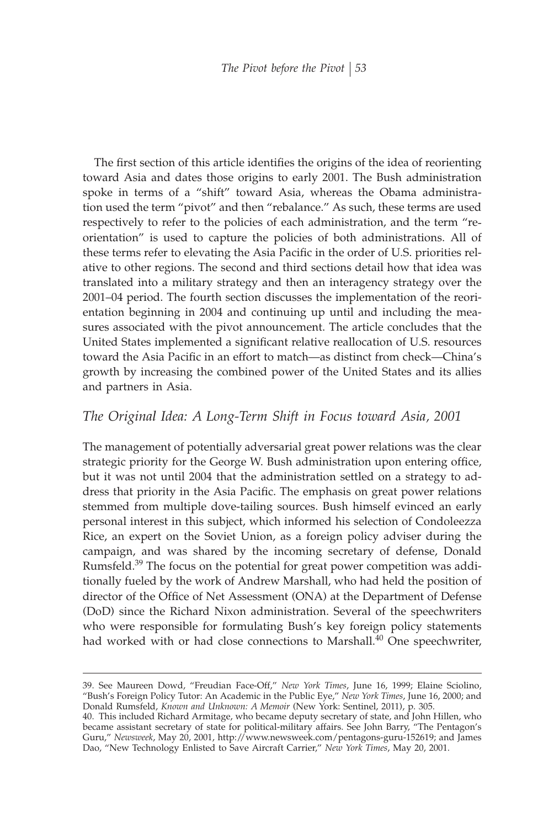The first section of this article identifies the origins of the idea of reorienting toward Asia and dates those origins to early 2001. The Bush administration spoke in terms of a "shift" toward Asia, whereas the Obama administration used the term "pivot" and then "rebalance." As such, these terms are used respectively to refer to the policies of each administration, and the term "reorientation" is used to capture the policies of both administrations. All of these terms refer to elevating the Asia Pacific in the order of U.S. priorities relative to other regions. The second and third sections detail how that idea was translated into a military strategy and then an interagency strategy over the 2001–04 period. The fourth section discusses the implementation of the reorientation beginning in 2004 and continuing up until and including the measures associated with the pivot announcement. The article concludes that the United States implemented a significant relative reallocation of U.S. resources toward the Asia Pacific in an effort to match—as distinct from check—China's growth by increasing the combined power of the United States and its allies and partners in Asia.

## *The Original Idea: A Long-Term Shift in Focus toward Asia, 2001*

The management of potentially adversarial great power relations was the clear strategic priority for the George W. Bush administration upon entering office, but it was not until 2004 that the administration settled on a strategy to address that priority in the Asia Pacific. The emphasis on great power relations stemmed from multiple dove-tailing sources. Bush himself evinced an early personal interest in this subject, which informed his selection of Condoleezza Rice, an expert on the Soviet Union, as a foreign policy adviser during the campaign, and was shared by the incoming secretary of defense, Donald Rumsfeld.<sup>39</sup> The focus on the potential for great power competition was additionally fueled by the work of Andrew Marshall, who had held the position of director of the Office of Net Assessment (ONA) at the Department of Defense (DoD) since the Richard Nixon administration. Several of the speechwriters who were responsible for formulating Bush's key foreign policy statements had worked with or had close connections to Marshall.<sup>40</sup> One speechwriter,

<sup>39.</sup> See Maureen Dowd, "Freudian Face-Off," *New York Times*, June 16, 1999; Elaine Sciolino, "Bush's Foreign Policy Tutor: An Academic in the Public Eye," *New York Times*, June 16, 2000; and Donald Rumsfeld, *Known and Unknown: A Memoir* (New York: Sentinel, 2011), p. 305.

<sup>40.</sup> This included Richard Armitage, who became deputy secretary of state, and John Hillen, who became assistant secretary of state for political-military affairs. See John Barry, "The Pentagon's Guru," *Newsweek*, May 20, 2001, http://www.newsweek.com/pentagons-guru-152619; and James Dao, "New Technology Enlisted to Save Aircraft Carrier," *New York Times*, May 20, 2001.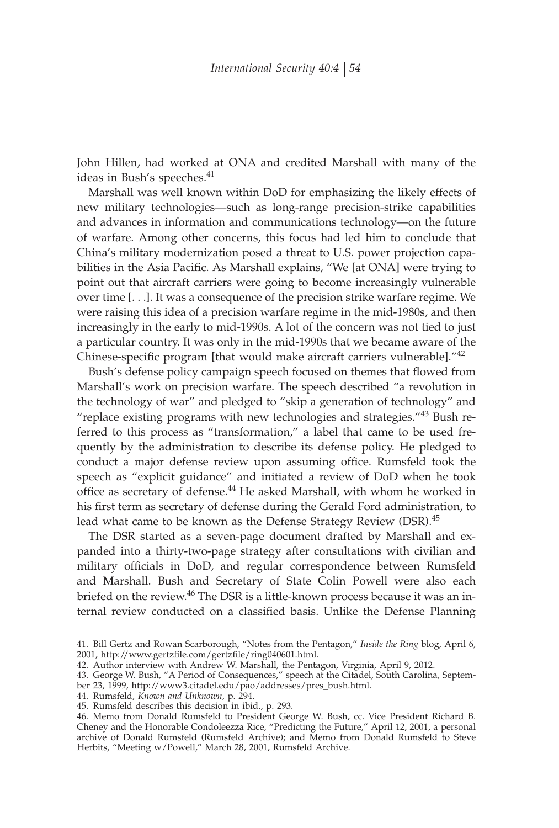John Hillen, had worked at ONA and credited Marshall with many of the ideas in Bush's speeches.<sup>41</sup>

Marshall was well known within DoD for emphasizing the likely effects of new military technologies—such as long-range precision-strike capabilities and advances in information and communications technology—on the future of warfare. Among other concerns, this focus had led him to conclude that China's military modernization posed a threat to U.S. power projection capabilities in the Asia Pacific. As Marshall explains, "We [at ONA] were trying to point out that aircraft carriers were going to become increasingly vulnerable over time [. . .]. It was a consequence of the precision strike warfare regime. We were raising this idea of a precision warfare regime in the mid-1980s, and then increasingly in the early to mid-1990s. A lot of the concern was not tied to just a particular country. It was only in the mid-1990s that we became aware of the Chinese-specific program [that would make aircraft carriers vulnerable]. $142$ 

Bush's defense policy campaign speech focused on themes that flowed from Marshall's work on precision warfare. The speech described "a revolution in the technology of war" and pledged to "skip a generation of technology" and "replace existing programs with new technologies and strategies."<sup>43</sup> Bush referred to this process as "transformation," a label that came to be used frequently by the administration to describe its defense policy. He pledged to conduct a major defense review upon assuming office. Rumsfeld took the speech as "explicit guidance" and initiated a review of DoD when he took office as secretary of defense. $44$  He asked Marshall, with whom he worked in his first term as secretary of defense during the Gerald Ford administration, to lead what came to be known as the Defense Strategy Review (DSR).<sup>45</sup>

The DSR started as a seven-page document drafted by Marshall and expanded into a thirty-two-page strategy after consultations with civilian and military officials in DoD, and regular correspondence between Rumsfeld and Marshall. Bush and Secretary of State Colin Powell were also each briefed on the review.<sup>46</sup> The DSR is a little-known process because it was an internal review conducted on a classified basis. Unlike the Defense Planning

<sup>41.</sup> Bill Gertz and Rowan Scarborough, "Notes from the Pentagon," *Inside the Ring* blog, April 6, 2001, http://www.gertzfile.com/gertzfile/ring040601.html.

<sup>42.</sup> Author interview with Andrew W. Marshall, the Pentagon, Virginia, April 9, 2012.

<sup>43.</sup> George W. Bush, "A Period of Consequences," speech at the Citadel, South Carolina, September 23, 1999, http://www3.citadel.edu/pao/addresses/pres\_bush.html.

<sup>44.</sup> Rumsfeld, *Known and Unknown*, p. 294.

<sup>45.</sup> Rumsfeld describes this decision in ibid., p. 293.

<sup>46.</sup> Memo from Donald Rumsfeld to President George W. Bush, cc. Vice President Richard B. Cheney and the Honorable Condoleezza Rice, "Predicting the Future," April 12, 2001, a personal archive of Donald Rumsfeld (Rumsfeld Archive); and Memo from Donald Rumsfeld to Steve Herbits, "Meeting w/Powell," March 28, 2001, Rumsfeld Archive.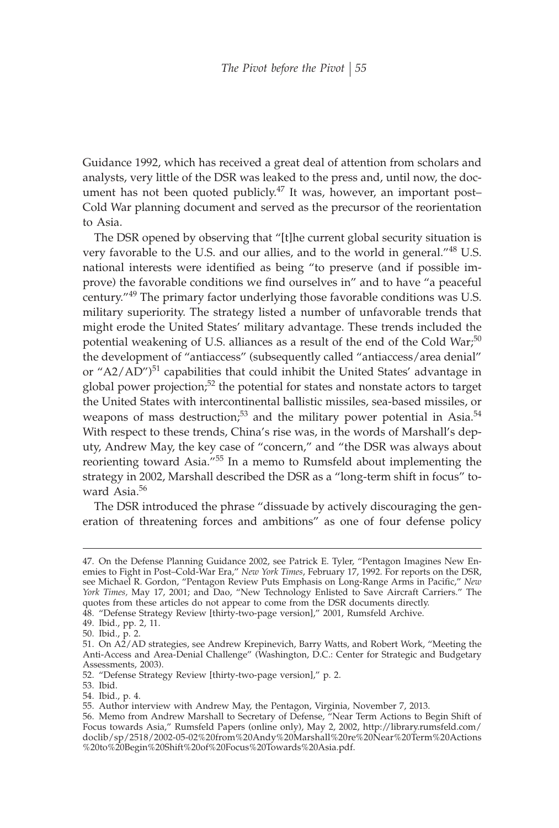Guidance 1992, which has received a great deal of attention from scholars and analysts, very little of the DSR was leaked to the press and, until now, the document has not been quoted publicly.<sup>47</sup> It was, however, an important post-Cold War planning document and served as the precursor of the reorientation to Asia.

The DSR opened by observing that "[t]he current global security situation is very favorable to the U.S. and our allies, and to the world in general."<sup>48</sup> U.S. national interests were identified as being "to preserve (and if possible improve) the favorable conditions we find ourselves in" and to have "a peaceful century."<sup>49</sup> The primary factor underlying those favorable conditions was U.S. military superiority. The strategy listed a number of unfavorable trends that might erode the United States' military advantage. These trends included the potential weakening of U.S. alliances as a result of the end of the Cold War; $50$ the development of "antiaccess" (subsequently called "antiaccess/area denial" or "A2/AD") $51$  capabilities that could inhibit the United States' advantage in global power projection; $52$  the potential for states and nonstate actors to target the United States with intercontinental ballistic missiles, sea-based missiles, or weapons of mass destruction;<sup>53</sup> and the military power potential in Asia.<sup>54</sup> With respect to these trends, China's rise was, in the words of Marshall's deputy, Andrew May, the key case of "concern," and "the DSR was always about reorienting toward Asia."<sup>55</sup> In a memo to Rumsfeld about implementing the strategy in 2002, Marshall described the DSR as a "long-term shift in focus" toward Asia.<sup>56</sup>

The DSR introduced the phrase "dissuade by actively discouraging the generation of threatening forces and ambitions" as one of four defense policy

48. "Defense Strategy Review [thirty-two-page version]," 2001, Rumsfeld Archive.

<sup>47.</sup> On the Defense Planning Guidance 2002, see Patrick E. Tyler, "Pentagon Imagines New Enemies to Fight in Post–Cold-War Era," *New York Times*, February 17, 1992. For reports on the DSR, see Michael R. Gordon, "Pentagon Review Puts Emphasis on Long-Range Arms in Pacific," *New York Times,* May 17, 2001; and Dao, "New Technology Enlisted to Save Aircraft Carriers." The quotes from these articles do not appear to come from the DSR documents directly.

<sup>49.</sup> Ibid., pp. 2, 11.

<sup>50.</sup> Ibid., p. 2.

<sup>51.</sup> On A2/AD strategies, see Andrew Krepinevich, Barry Watts, and Robert Work, "Meeting the Anti-Access and Area-Denial Challenge" (Washington, D.C.: Center for Strategic and Budgetary Assessments, 2003).

<sup>52. &</sup>quot;Defense Strategy Review [thirty-two-page version]," p. 2.

<sup>53.</sup> Ibid.

<sup>54.</sup> Ibid., p. 4.

<sup>55.</sup> Author interview with Andrew May, the Pentagon, Virginia, November 7, 2013.

<sup>56.</sup> Memo from Andrew Marshall to Secretary of Defense, "Near Term Actions to Begin Shift of Focus towards Asia," Rumsfeld Papers (online only), May 2, 2002, http://library.rumsfeld.com/ doclib/sp/2518/2002-05-02%20from%20Andy%20Marshall%20re%20Near%20Term%20Actions %20to%20Begin%20Shift%20of%20Focus%20Towards%20Asia.pdf.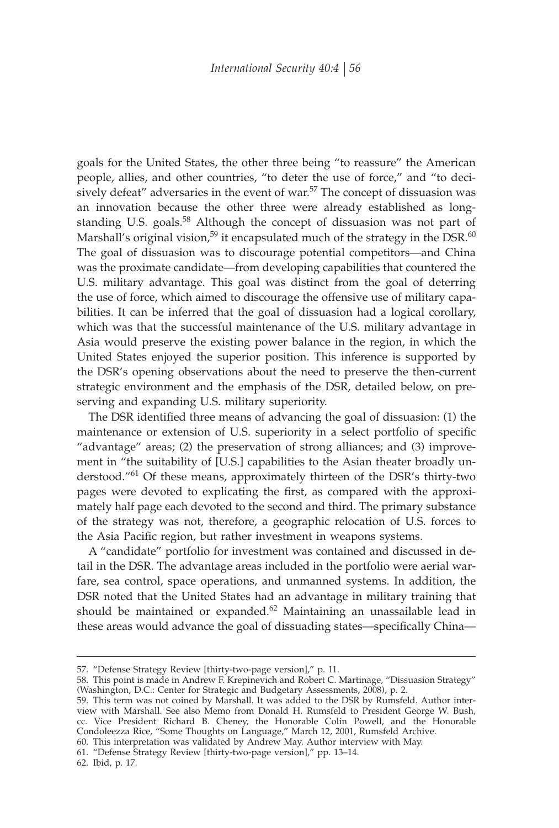goals for the United States, the other three being "to reassure" the American people, allies, and other countries, "to deter the use of force," and "to decisively defeat" adversaries in the event of war.<sup>57</sup> The concept of dissuasion was an innovation because the other three were already established as longstanding U.S. goals.<sup>58</sup> Although the concept of dissuasion was not part of Marshall's original vision,<sup>59</sup> it encapsulated much of the strategy in the DSR.<sup>60</sup> The goal of dissuasion was to discourage potential competitors—and China was the proximate candidate—from developing capabilities that countered the U.S. military advantage. This goal was distinct from the goal of deterring the use of force, which aimed to discourage the offensive use of military capabilities. It can be inferred that the goal of dissuasion had a logical corollary, which was that the successful maintenance of the U.S. military advantage in Asia would preserve the existing power balance in the region, in which the United States enjoyed the superior position. This inference is supported by the DSR's opening observations about the need to preserve the then-current strategic environment and the emphasis of the DSR, detailed below, on preserving and expanding U.S. military superiority.

The DSR identified three means of advancing the goal of dissuasion: (1) the maintenance or extension of U.S. superiority in a select portfolio of specific "advantage" areas; (2) the preservation of strong alliances; and (3) improvement in "the suitability of [U.S.] capabilities to the Asian theater broadly understood."<sup>61</sup> Of these means, approximately thirteen of the DSR's thirty-two pages were devoted to explicating the first, as compared with the approximately half page each devoted to the second and third. The primary substance of the strategy was not, therefore, a geographic relocation of U.S. forces to the Asia Pacific region, but rather investment in weapons systems.

A "candidate" portfolio for investment was contained and discussed in detail in the DSR. The advantage areas included in the portfolio were aerial warfare, sea control, space operations, and unmanned systems. In addition, the DSR noted that the United States had an advantage in military training that should be maintained or expanded. $62$  Maintaining an unassailable lead in these areas would advance the goal of dissuading states—specifically China—

<sup>57. &</sup>quot;Defense Strategy Review [thirty-two-page version]," p. 11.

<sup>58.</sup> This point is made in Andrew F. Krepinevich and Robert C. Martinage, "Dissuasion Strategy" (Washington, D.C.: Center for Strategic and Budgetary Assessments, 2008), p. 2.

<sup>59.</sup> This term was not coined by Marshall. It was added to the DSR by Rumsfeld. Author interview with Marshall. See also Memo from Donald H. Rumsfeld to President George W. Bush, cc. Vice President Richard B. Cheney, the Honorable Colin Powell, and the Honorable Condoleezza Rice, "Some Thoughts on Language," March 12, 2001, Rumsfeld Archive.

<sup>60.</sup> This interpretation was validated by Andrew May. Author interview with May.

<sup>61. &</sup>quot;Defense Strategy Review [thirty-two-page version]," pp. 13–14.

<sup>62.</sup> Ibid, p. 17.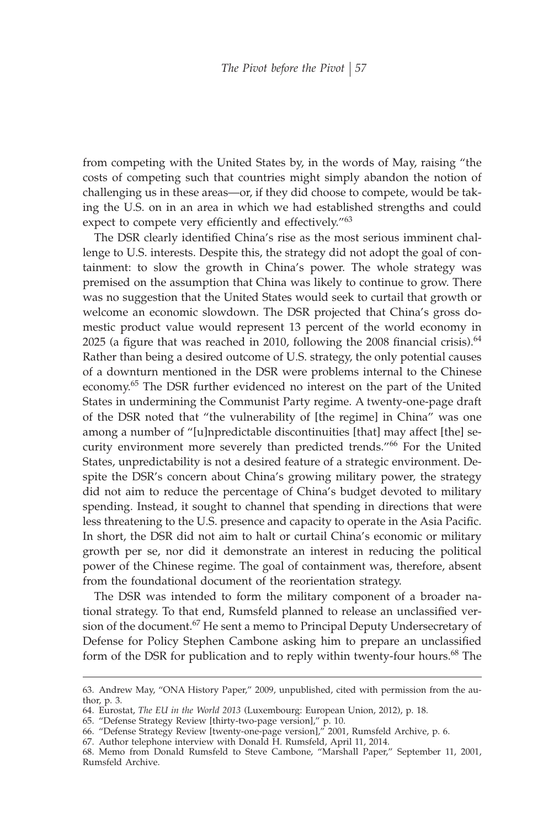from competing with the United States by, in the words of May, raising "the costs of competing such that countries might simply abandon the notion of challenging us in these areas—or, if they did choose to compete, would be taking the U.S. on in an area in which we had established strengths and could expect to compete very efficiently and effectively."<sup>63</sup>

The DSR clearly identified China's rise as the most serious imminent challenge to U.S. interests. Despite this, the strategy did not adopt the goal of containment: to slow the growth in China's power. The whole strategy was premised on the assumption that China was likely to continue to grow. There was no suggestion that the United States would seek to curtail that growth or welcome an economic slowdown. The DSR projected that China's gross domestic product value would represent 13 percent of the world economy in 2025 (a figure that was reached in 2010, following the 2008 financial crisis). $64$ Rather than being a desired outcome of U.S. strategy, the only potential causes of a downturn mentioned in the DSR were problems internal to the Chinese economy.<sup>65</sup> The DSR further evidenced no interest on the part of the United States in undermining the Communist Party regime. A twenty-one-page draft of the DSR noted that "the vulnerability of [the regime] in China" was one among a number of "[u]npredictable discontinuities [that] may affect [the] security environment more severely than predicted trends."<sup>66</sup> For the United States, unpredictability is not a desired feature of a strategic environment. Despite the DSR's concern about China's growing military power, the strategy did not aim to reduce the percentage of China's budget devoted to military spending. Instead, it sought to channel that spending in directions that were less threatening to the U.S. presence and capacity to operate in the Asia Pacific. In short, the DSR did not aim to halt or curtail China's economic or military growth per se, nor did it demonstrate an interest in reducing the political power of the Chinese regime. The goal of containment was, therefore, absent from the foundational document of the reorientation strategy.

The DSR was intended to form the military component of a broader national strategy. To that end, Rumsfeld planned to release an unclassified version of the document.<sup>67</sup> He sent a memo to Principal Deputy Undersecretary of Defense for Policy Stephen Cambone asking him to prepare an unclassified form of the DSR for publication and to reply within twenty-four hours.<sup>68</sup> The

67. Author telephone interview with Donald H. Rumsfeld, April 11, 2014.

<sup>63.</sup> Andrew May, "ONA History Paper," 2009, unpublished, cited with permission from the author, p. 3.

<sup>64.</sup> Eurostat, *The EU in the World 2013* (Luxembourg: European Union, 2012), p. 18.

<sup>65. &</sup>quot;Defense Strategy Review [thirty-two-page version]," p. 10.

<sup>66. &</sup>quot;Defense Strategy Review [twenty-one-page version]," 2001, Rumsfeld Archive, p. 6.

<sup>68.</sup> Memo from Donald Rumsfeld to Steve Cambone, "Marshall Paper," September 11, 2001, Rumsfeld Archive.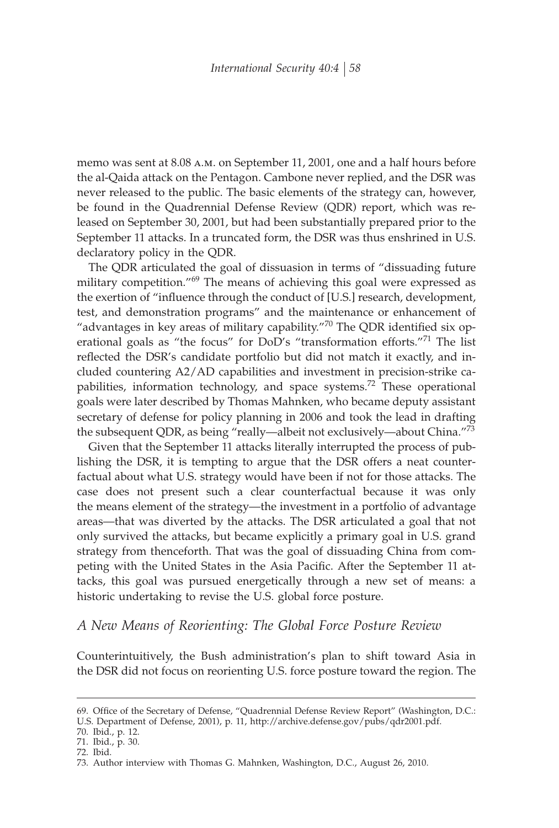memo was sent at 8.08 a.m. on September 11, 2001, one and a half hours before the al-Qaida attack on the Pentagon. Cambone never replied, and the DSR was never released to the public. The basic elements of the strategy can, however, be found in the Quadrennial Defense Review (QDR) report, which was released on September 30, 2001, but had been substantially prepared prior to the September 11 attacks. In a truncated form, the DSR was thus enshrined in U.S. declaratory policy in the QDR.

The QDR articulated the goal of dissuasion in terms of "dissuading future military competition."<sup>69</sup> The means of achieving this goal were expressed as the exertion of "influence through the conduct of [U.S.] research, development, test, and demonstration programs" and the maintenance or enhancement of "advantages in key areas of military capability."<sup>70</sup> The QDR identified six operational goals as "the focus" for DoD's "transformation efforts."<sup>71</sup> The list reflected the DSR's candidate portfolio but did not match it exactly, and included countering A2/AD capabilities and investment in precision-strike capabilities, information technology, and space systems.<sup>72</sup> These operational goals were later described by Thomas Mahnken, who became deputy assistant secretary of defense for policy planning in 2006 and took the lead in drafting the subsequent QDR, as being "really—albeit not exclusively—about China."<sup>73</sup>

Given that the September 11 attacks literally interrupted the process of publishing the DSR, it is tempting to argue that the DSR offers a neat counterfactual about what U.S. strategy would have been if not for those attacks. The case does not present such a clear counterfactual because it was only the means element of the strategy—the investment in a portfolio of advantage areas—that was diverted by the attacks. The DSR articulated a goal that not only survived the attacks, but became explicitly a primary goal in U.S. grand strategy from thenceforth. That was the goal of dissuading China from competing with the United States in the Asia Pacific. After the September 11 attacks, this goal was pursued energetically through a new set of means: a historic undertaking to revise the U.S. global force posture.

## *A New Means of Reorienting: The Global Force Posture Review*

Counterintuitively, the Bush administration's plan to shift toward Asia in the DSR did not focus on reorienting U.S. force posture toward the region. The

<sup>69.</sup> Office of the Secretary of Defense, "Quadrennial Defense Review Report" (Washington, D.C.: U.S. Department of Defense, 2001), p. 11, http://archive.defense.gov/pubs/qdr2001.pdf.

<sup>70.</sup> Ibid., p. 12.

<sup>71.</sup> Ibid., p. 30.

<sup>72.</sup> Ibid.

<sup>73.</sup> Author interview with Thomas G. Mahnken, Washington, D.C., August 26, 2010.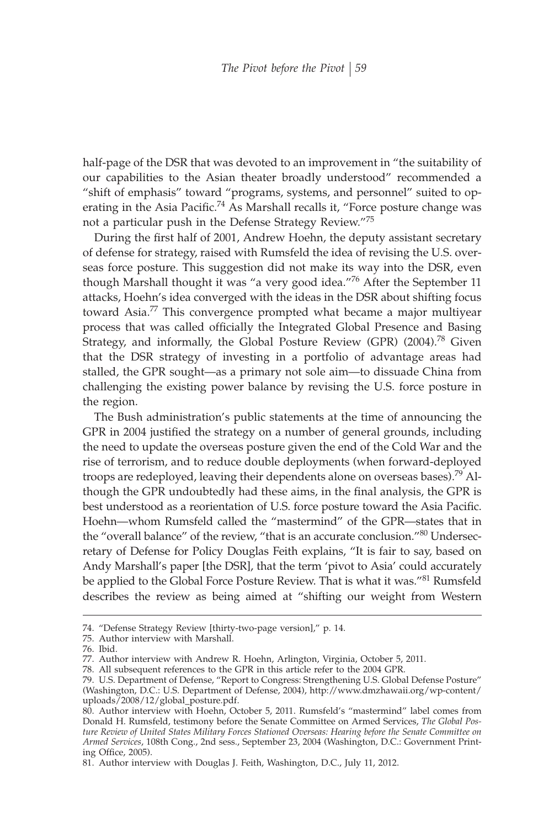half-page of the DSR that was devoted to an improvement in "the suitability of our capabilities to the Asian theater broadly understood" recommended a "shift of emphasis" toward "programs, systems, and personnel" suited to operating in the Asia Pacific.<sup>74</sup> As Marshall recalls it, "Force posture change was not a particular push in the Defense Strategy Review."<sup>75</sup>

During the first half of 2001, Andrew Hoehn, the deputy assistant secretary of defense for strategy, raised with Rumsfeld the idea of revising the U.S. overseas force posture. This suggestion did not make its way into the DSR, even though Marshall thought it was "a very good idea."<sup>76</sup> After the September 11 attacks, Hoehn's idea converged with the ideas in the DSR about shifting focus toward Asia.<sup>77</sup> This convergence prompted what became a major multiyear process that was called officially the Integrated Global Presence and Basing Strategy, and informally, the Global Posture Review (GPR) (2004).<sup>78</sup> Given that the DSR strategy of investing in a portfolio of advantage areas had stalled, the GPR sought—as a primary not sole aim—to dissuade China from challenging the existing power balance by revising the U.S. force posture in the region.

The Bush administration's public statements at the time of announcing the GPR in 2004 justified the strategy on a number of general grounds, including the need to update the overseas posture given the end of the Cold War and the rise of terrorism, and to reduce double deployments (when forward-deployed troops are redeployed, leaving their dependents alone on overseas bases).<sup>79</sup> Although the GPR undoubtedly had these aims, in the final analysis, the GPR is best understood as a reorientation of U.S. force posture toward the Asia Pacific. Hoehn—whom Rumsfeld called the "mastermind" of the GPR—states that in the "overall balance" of the review, "that is an accurate conclusion."<sup>80</sup> Undersecretary of Defense for Policy Douglas Feith explains, "It is fair to say, based on Andy Marshall's paper [the DSR], that the term 'pivot to Asia' could accurately be applied to the Global Force Posture Review. That is what it was."81 Rumsfeld describes the review as being aimed at "shifting our weight from Western

<sup>74. &</sup>quot;Defense Strategy Review [thirty-two-page version]," p. 14.

<sup>75.</sup> Author interview with Marshall.

<sup>76.</sup> Ibid.

<sup>77.</sup> Author interview with Andrew R. Hoehn, Arlington, Virginia, October 5, 2011.

<sup>78.</sup> All subsequent references to the GPR in this article refer to the 2004 GPR.

<sup>79.</sup> U.S. Department of Defense, "Report to Congress: Strengthening U.S. Global Defense Posture" (Washington, D.C.: U.S. Department of Defense, 2004), http://www.dmzhawaii.org/wp-content/ uploads/2008/12/global\_posture.pdf.

<sup>80.</sup> Author interview with Hoehn, October 5, 2011. Rumsfeld's "mastermind" label comes from Donald H. Rumsfeld, testimony before the Senate Committee on Armed Services, *The Global Posture Review of United States Military Forces Stationed Overseas: Hearing before the Senate Committee on Armed Services*, 108th Cong., 2nd sess., September 23, 2004 (Washington, D.C.: Government Printing Office, 2005).

<sup>81.</sup> Author interview with Douglas J. Feith, Washington, D.C., July 11, 2012.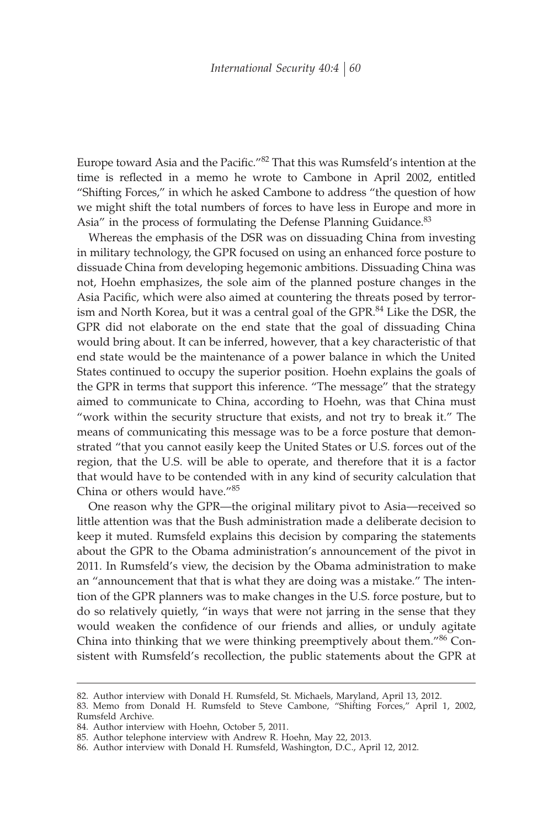Europe toward Asia and the Pacific."<sup>82</sup> That this was Rumsfeld's intention at the time is reflected in a memo he wrote to Cambone in April 2002, entitled "Shifting Forces," in which he asked Cambone to address "the question of how we might shift the total numbers of forces to have less in Europe and more in Asia" in the process of formulating the Defense Planning Guidance.<sup>83</sup>

Whereas the emphasis of the DSR was on dissuading China from investing in military technology, the GPR focused on using an enhanced force posture to dissuade China from developing hegemonic ambitions. Dissuading China was not, Hoehn emphasizes, the sole aim of the planned posture changes in the Asia Pacific, which were also aimed at countering the threats posed by terrorism and North Korea, but it was a central goal of the GPR.<sup>84</sup> Like the DSR, the GPR did not elaborate on the end state that the goal of dissuading China would bring about. It can be inferred, however, that a key characteristic of that end state would be the maintenance of a power balance in which the United States continued to occupy the superior position. Hoehn explains the goals of the GPR in terms that support this inference. "The message" that the strategy aimed to communicate to China, according to Hoehn, was that China must "work within the security structure that exists, and not try to break it." The means of communicating this message was to be a force posture that demonstrated "that you cannot easily keep the United States or U.S. forces out of the region, that the U.S. will be able to operate, and therefore that it is a factor that would have to be contended with in any kind of security calculation that China or others would have."<sup>85</sup>

One reason why the GPR—the original military pivot to Asia—received so little attention was that the Bush administration made a deliberate decision to keep it muted. Rumsfeld explains this decision by comparing the statements about the GPR to the Obama administration's announcement of the pivot in 2011. In Rumsfeld's view, the decision by the Obama administration to make an "announcement that that is what they are doing was a mistake." The intention of the GPR planners was to make changes in the U.S. force posture, but to do so relatively quietly, "in ways that were not jarring in the sense that they would weaken the confidence of our friends and allies, or unduly agitate China into thinking that we were thinking preemptively about them."<sup>86</sup> Consistent with Rumsfeld's recollection, the public statements about the GPR at

<sup>82.</sup> Author interview with Donald H. Rumsfeld, St. Michaels, Maryland, April 13, 2012.

<sup>83.</sup> Memo from Donald H. Rumsfeld to Steve Cambone, "Shifting Forces," April 1, 2002, Rumsfeld Archive.

<sup>84.</sup> Author interview with Hoehn, October 5, 2011.

<sup>85.</sup> Author telephone interview with Andrew R. Hoehn, May 22, 2013.

<sup>86.</sup> Author interview with Donald H. Rumsfeld, Washington, D.C., April 12, 2012.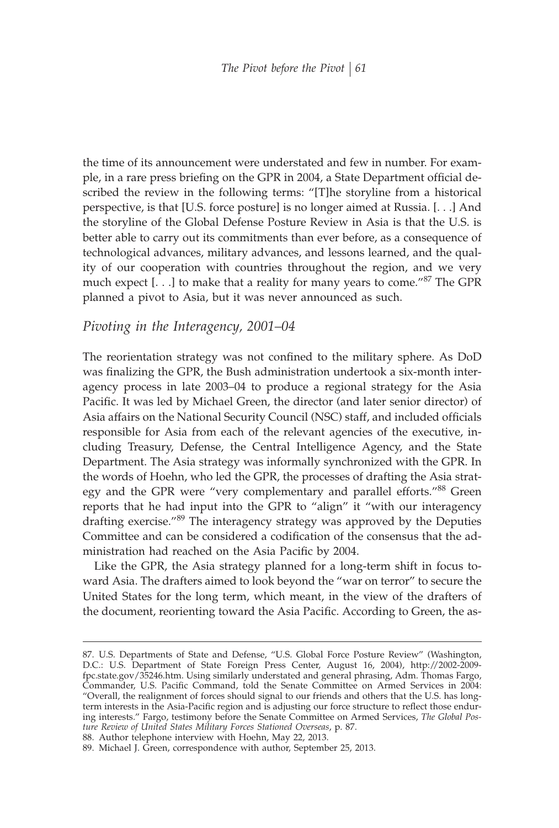the time of its announcement were understated and few in number. For example, in a rare press briefing on the GPR in 2004, a State Department official described the review in the following terms: "[T]he storyline from a historical perspective, is that [U.S. force posture] is no longer aimed at Russia. [. . .] And the storyline of the Global Defense Posture Review in Asia is that the U.S. is better able to carry out its commitments than ever before, as a consequence of technological advances, military advances, and lessons learned, and the quality of our cooperation with countries throughout the region, and we very much expect [...] to make that a reality for many years to come."<sup>87</sup> The GPR planned a pivot to Asia, but it was never announced as such.

## *Pivoting in the Interagency, 2001–04*

The reorientation strategy was not confined to the military sphere. As DoD was finalizing the GPR, the Bush administration undertook a six-month interagency process in late 2003–04 to produce a regional strategy for the Asia Pacific. It was led by Michael Green, the director (and later senior director) of Asia affairs on the National Security Council (NSC) staff, and included officials responsible for Asia from each of the relevant agencies of the executive, including Treasury, Defense, the Central Intelligence Agency, and the State Department. The Asia strategy was informally synchronized with the GPR. In the words of Hoehn, who led the GPR, the processes of drafting the Asia strategy and the GPR were "very complementary and parallel efforts."88 Green reports that he had input into the GPR to "align" it "with our interagency drafting exercise."<sup>89</sup> The interagency strategy was approved by the Deputies Committee and can be considered a codification of the consensus that the administration had reached on the Asia Pacific by 2004.

Like the GPR, the Asia strategy planned for a long-term shift in focus toward Asia. The drafters aimed to look beyond the "war on terror" to secure the United States for the long term, which meant, in the view of the drafters of the document, reorienting toward the Asia Pacific. According to Green, the as-

88. Author telephone interview with Hoehn, May 22, 2013.

<sup>87.</sup> U.S. Departments of State and Defense, "U.S. Global Force Posture Review" (Washington, D.C.: U.S. Department of State Foreign Press Center, August 16, 2004), http://2002-2009 fpc.state.gov/35246.htm. Using similarly understated and general phrasing, Adm. Thomas Fargo, Commander, U.S. Pacific Command, told the Senate Committee on Armed Services in 2004: "Overall, the realignment of forces should signal to our friends and others that the U.S. has longterm interests in the Asia-Pacific region and is adjusting our force structure to reflect those enduring interests." Fargo, testimony before the Senate Committee on Armed Services, *The Global Posture Review of United States Military Forces Stationed Overseas*, p. 87.

<sup>89.</sup> Michael J. Green, correspondence with author, September 25, 2013.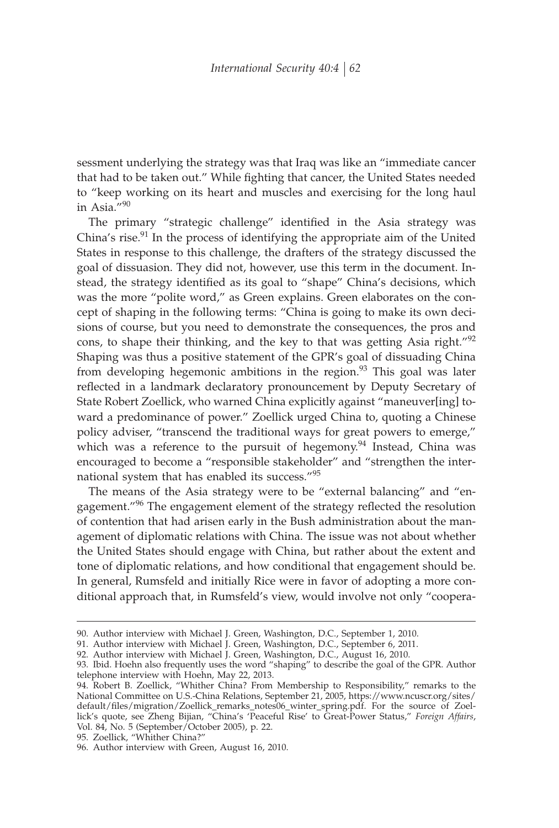sessment underlying the strategy was that Iraq was like an "immediate cancer that had to be taken out." While fighting that cancer, the United States needed to "keep working on its heart and muscles and exercising for the long haul in Asia."<sup>90</sup>

The primary "strategic challenge" identified in the Asia strategy was China's rise.<sup>91</sup> In the process of identifying the appropriate aim of the United States in response to this challenge, the drafters of the strategy discussed the goal of dissuasion. They did not, however, use this term in the document. Instead, the strategy identified as its goal to "shape" China's decisions, which was the more "polite word," as Green explains. Green elaborates on the concept of shaping in the following terms: "China is going to make its own decisions of course, but you need to demonstrate the consequences, the pros and cons, to shape their thinking, and the key to that was getting Asia right."92 Shaping was thus a positive statement of the GPR's goal of dissuading China from developing hegemonic ambitions in the region.<sup>93</sup> This goal was later reflected in a landmark declaratory pronouncement by Deputy Secretary of State Robert Zoellick, who warned China explicitly against "maneuver[ing] toward a predominance of power." Zoellick urged China to, quoting a Chinese policy adviser, "transcend the traditional ways for great powers to emerge," which was a reference to the pursuit of hegemony.<sup>94</sup> Instead, China was encouraged to become a "responsible stakeholder" and "strengthen the international system that has enabled its success."<sup>95</sup>

The means of the Asia strategy were to be "external balancing" and "engagement."<sup>96</sup> The engagement element of the strategy reflected the resolution of contention that had arisen early in the Bush administration about the management of diplomatic relations with China. The issue was not about whether the United States should engage with China, but rather about the extent and tone of diplomatic relations, and how conditional that engagement should be. In general, Rumsfeld and initially Rice were in favor of adopting a more conditional approach that, in Rumsfeld's view, would involve not only "coopera-

<sup>90.</sup> Author interview with Michael J. Green, Washington, D.C., September 1, 2010.

<sup>91.</sup> Author interview with Michael J. Green, Washington, D.C., September 6, 2011.

<sup>92.</sup> Author interview with Michael J. Green, Washington, D.C., August 16, 2010.

<sup>93.</sup> Ibid. Hoehn also frequently uses the word "shaping" to describe the goal of the GPR. Author telephone interview with Hoehn, May 22, 2013.

<sup>94.</sup> Robert B. Zoellick, "Whither China? From Membership to Responsibility," remarks to the National Committee on U.S.-China Relations, September 21, 2005, https://www.ncuscr.org/sites/ default/ªles/migration/Zoellick\_remarks\_notes06\_winter\_spring.pdf. For the source of Zoellick's quote, see Zheng Bijian, "China's 'Peaceful Rise' to Great-Power Status," *Foreign Affairs*, Vol. 84, No. 5 (September/October 2005), p. 22.

<sup>95.</sup> Zoellick, "Whither China?"

<sup>96.</sup> Author interview with Green, August 16, 2010.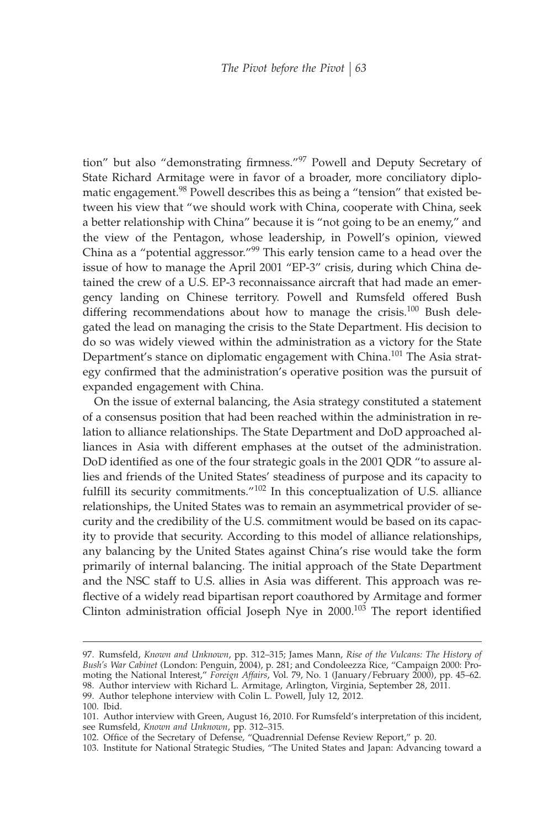tion" but also "demonstrating firmness."<sup>97</sup> Powell and Deputy Secretary of State Richard Armitage were in favor of a broader, more conciliatory diplomatic engagement.<sup>98</sup> Powell describes this as being a "tension" that existed between his view that "we should work with China, cooperate with China, seek a better relationship with China" because it is "not going to be an enemy," and the view of the Pentagon, whose leadership, in Powell's opinion, viewed China as a "potential aggressor."<sup>99</sup> This early tension came to a head over the issue of how to manage the April 2001 "EP-3" crisis, during which China detained the crew of a U.S. EP-3 reconnaissance aircraft that had made an emergency landing on Chinese territory. Powell and Rumsfeld offered Bush differing recommendations about how to manage the crisis.<sup>100</sup> Bush delegated the lead on managing the crisis to the State Department. His decision to do so was widely viewed within the administration as a victory for the State Department's stance on diplomatic engagement with China.<sup>101</sup> The Asia strategy confirmed that the administration's operative position was the pursuit of expanded engagement with China.

On the issue of external balancing, the Asia strategy constituted a statement of a consensus position that had been reached within the administration in relation to alliance relationships. The State Department and DoD approached alliances in Asia with different emphases at the outset of the administration. DoD identified as one of the four strategic goals in the 2001 QDR "to assure allies and friends of the United States' steadiness of purpose and its capacity to fulfill its security commitments."<sup>102</sup> In this conceptualization of U.S. alliance relationships, the United States was to remain an asymmetrical provider of security and the credibility of the U.S. commitment would be based on its capacity to provide that security. According to this model of alliance relationships, any balancing by the United States against China's rise would take the form primarily of internal balancing. The initial approach of the State Department and the NSC staff to U.S. allies in Asia was different. This approach was reflective of a widely read bipartisan report coauthored by Armitage and former Clinton administration official Joseph Nye in  $2000$ .<sup>103</sup> The report identified

<sup>97.</sup> Rumsfeld, *Known and Unknown*, pp. 312–315; James Mann, *Rise of the Vulcans: The History of Bush's War Cabinet* (London: Penguin, 2004), p. 281; and Condoleezza Rice, "Campaign 2000: Promoting the National Interest," *Foreign Affairs*, Vol. 79, No. 1 (January/February 2000), pp. 45–62. 98. Author interview with Richard L. Armitage, Arlington, Virginia, September 28, 2011. 99. Author telephone interview with Colin L. Powell, July 12, 2012.

<sup>100.</sup> Ibid.

<sup>101.</sup> Author interview with Green, August 16, 2010. For Rumsfeld's interpretation of this incident, see Rumsfeld, *Known and Unknown*, pp. 312–315.

<sup>102.</sup> Office of the Secretary of Defense, "Quadrennial Defense Review Report," p. 20.

<sup>103.</sup> Institute for National Strategic Studies, "The United States and Japan: Advancing toward a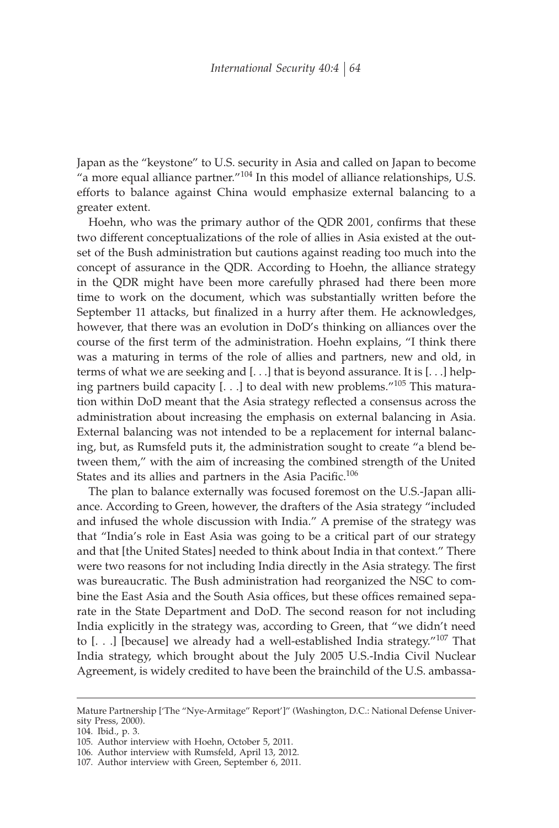Japan as the "keystone" to U.S. security in Asia and called on Japan to become "a more equal alliance partner." $104$  In this model of alliance relationships, U.S. efforts to balance against China would emphasize external balancing to a greater extent.

Hoehn, who was the primary author of the QDR 2001, confirms that these two different conceptualizations of the role of allies in Asia existed at the outset of the Bush administration but cautions against reading too much into the concept of assurance in the QDR. According to Hoehn, the alliance strategy in the QDR might have been more carefully phrased had there been more time to work on the document, which was substantially written before the September 11 attacks, but finalized in a hurry after them. He acknowledges, however, that there was an evolution in DoD's thinking on alliances over the course of the first term of the administration. Hoehn explains, "I think there was a maturing in terms of the role of allies and partners, new and old, in terms of what we are seeking and [. . .] that is beyond assurance. It is [. . .] helping partners build capacity  $[...]$  to deal with new problems.<sup> $n$ 105</sup> This maturation within DoD meant that the Asia strategy reflected a consensus across the administration about increasing the emphasis on external balancing in Asia. External balancing was not intended to be a replacement for internal balancing, but, as Rumsfeld puts it, the administration sought to create "a blend between them," with the aim of increasing the combined strength of the United States and its allies and partners in the Asia Pacific.<sup>106</sup>

The plan to balance externally was focused foremost on the U.S.-Japan alliance. According to Green, however, the drafters of the Asia strategy "included and infused the whole discussion with India." A premise of the strategy was that "India's role in East Asia was going to be a critical part of our strategy and that [the United States] needed to think about India in that context." There were two reasons for not including India directly in the Asia strategy. The first was bureaucratic. The Bush administration had reorganized the NSC to combine the East Asia and the South Asia offices, but these offices remained separate in the State Department and DoD. The second reason for not including India explicitly in the strategy was, according to Green, that "we didn't need to  $[...]$  [because] we already had a well-established India strategy."<sup>107</sup> That India strategy, which brought about the July 2005 U.S.-India Civil Nuclear Agreement, is widely credited to have been the brainchild of the U.S. ambassa-

Mature Partnership ['The "Nye-Armitage" Report']" (Washington, D.C.: National Defense University Press, 2000).

<sup>104.</sup> Ibid., p. 3.

<sup>105.</sup> Author interview with Hoehn, October 5, 2011.

<sup>106.</sup> Author interview with Rumsfeld, April 13, 2012.

<sup>107.</sup> Author interview with Green, September 6, 2011.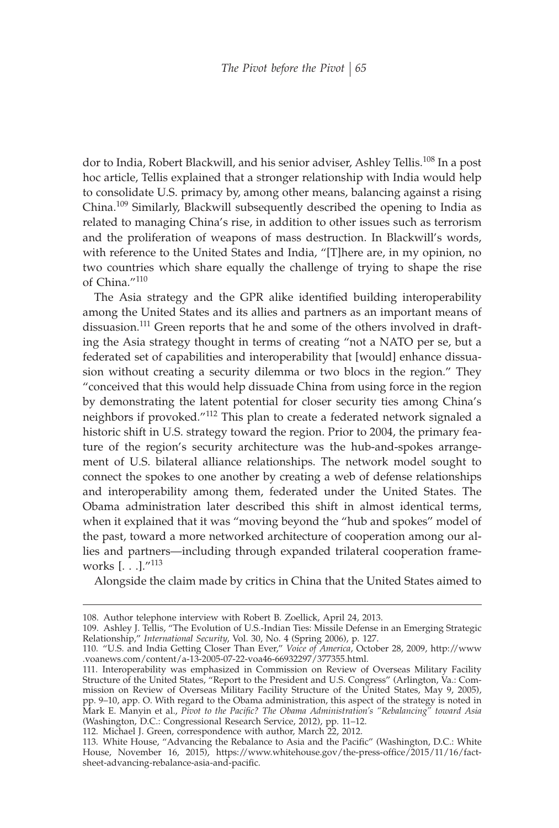dor to India, Robert Blackwill, and his senior adviser, Ashley Tellis.<sup>108</sup> In a post hoc article, Tellis explained that a stronger relationship with India would help to consolidate U.S. primacy by, among other means, balancing against a rising China.109 Similarly, Blackwill subsequently described the opening to India as related to managing China's rise, in addition to other issues such as terrorism and the proliferation of weapons of mass destruction. In Blackwill's words, with reference to the United States and India, "[T]here are, in my opinion, no two countries which share equally the challenge of trying to shape the rise of China."<sup>110</sup>

The Asia strategy and the GPR alike identified building interoperability among the United States and its allies and partners as an important means of dissuasion.<sup>111</sup> Green reports that he and some of the others involved in drafting the Asia strategy thought in terms of creating "not a NATO per se, but a federated set of capabilities and interoperability that [would] enhance dissuasion without creating a security dilemma or two blocs in the region." They "conceived that this would help dissuade China from using force in the region by demonstrating the latent potential for closer security ties among China's neighbors if provoked."<sup>112</sup> This plan to create a federated network signaled a historic shift in U.S. strategy toward the region. Prior to 2004, the primary feature of the region's security architecture was the hub-and-spokes arrangement of U.S. bilateral alliance relationships. The network model sought to connect the spokes to one another by creating a web of defense relationships and interoperability among them, federated under the United States. The Obama administration later described this shift in almost identical terms, when it explained that it was "moving beyond the "hub and spokes" model of the past, toward a more networked architecture of cooperation among our allies and partners—including through expanded trilateral cooperation frameworks [. . .]."<sup>113</sup>

Alongside the claim made by critics in China that the United States aimed to

112. Michael J. Green, correspondence with author, March 22, 2012.

<sup>108.</sup> Author telephone interview with Robert B. Zoellick, April 24, 2013.

<sup>109.</sup> Ashley J. Tellis, "The Evolution of U.S.-Indian Ties: Missile Defense in an Emerging Strategic Relationship," *International Security*, Vol. 30, No. 4 (Spring 2006), p. 127.

<sup>110. &</sup>quot;U.S. and India Getting Closer Than Ever," *Voice of America*, October 28, 2009, http://www .voanews.com/content/a-13-2005-07-22-voa46-66932297/377355.html.

<sup>111.</sup> Interoperability was emphasized in Commission on Review of Overseas Military Facility Structure of the United States, "Report to the President and U.S. Congress" (Arlington, Va.: Commission on Review of Overseas Military Facility Structure of the United States, May 9, 2005), pp. 9–10, app. O. With regard to the Obama administration, this aspect of the strategy is noted in Mark E. Manyin et al., *Pivot to the Pacific? The Obama Administration's "Rebalancing" toward Asia* (Washington, D.C.: Congressional Research Service, 2012), pp. 11–12.

<sup>113.</sup> White House, "Advancing the Rebalance to Asia and the Pacific" (Washington, D.C.: White House, November 16, 2015), https://www.whitehouse.gov/the-press-office/2015/11/16/factsheet-advancing-rebalance-asia-and-pacific.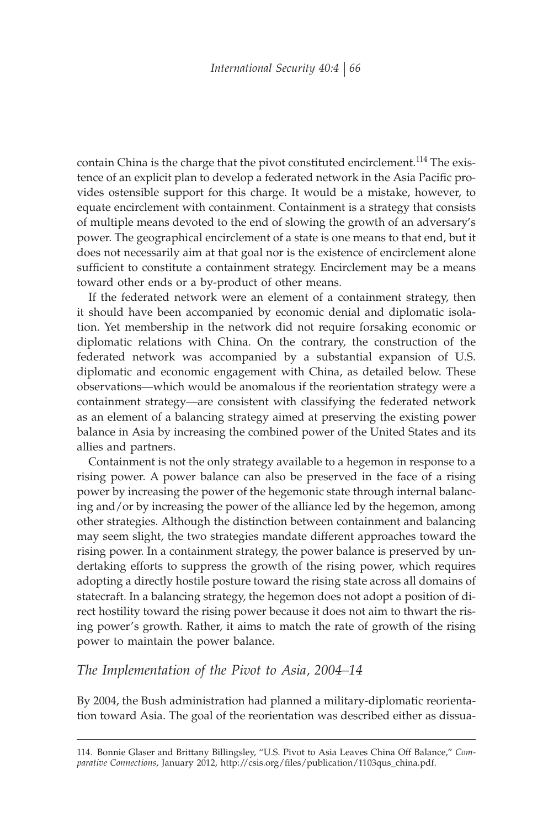contain China is the charge that the pivot constituted encirclement.<sup>114</sup> The existence of an explicit plan to develop a federated network in the Asia Pacific provides ostensible support for this charge. It would be a mistake, however, to equate encirclement with containment. Containment is a strategy that consists of multiple means devoted to the end of slowing the growth of an adversary's power. The geographical encirclement of a state is one means to that end, but it does not necessarily aim at that goal nor is the existence of encirclement alone sufficient to constitute a containment strategy. Encirclement may be a means toward other ends or a by-product of other means.

If the federated network were an element of a containment strategy, then it should have been accompanied by economic denial and diplomatic isolation. Yet membership in the network did not require forsaking economic or diplomatic relations with China. On the contrary, the construction of the federated network was accompanied by a substantial expansion of U.S. diplomatic and economic engagement with China, as detailed below. These observations—which would be anomalous if the reorientation strategy were a containment strategy—are consistent with classifying the federated network as an element of a balancing strategy aimed at preserving the existing power balance in Asia by increasing the combined power of the United States and its allies and partners.

Containment is not the only strategy available to a hegemon in response to a rising power. A power balance can also be preserved in the face of a rising power by increasing the power of the hegemonic state through internal balancing and/or by increasing the power of the alliance led by the hegemon, among other strategies. Although the distinction between containment and balancing may seem slight, the two strategies mandate different approaches toward the rising power. In a containment strategy, the power balance is preserved by undertaking efforts to suppress the growth of the rising power, which requires adopting a directly hostile posture toward the rising state across all domains of statecraft. In a balancing strategy, the hegemon does not adopt a position of direct hostility toward the rising power because it does not aim to thwart the rising power's growth. Rather, it aims to match the rate of growth of the rising power to maintain the power balance.

# *The Implementation of the Pivot to Asia, 2004–14*

By 2004, the Bush administration had planned a military-diplomatic reorientation toward Asia. The goal of the reorientation was described either as dissua-

<sup>114.</sup> Bonnie Glaser and Brittany Billingsley, "U.S. Pivot to Asia Leaves China Off Balance," *Comparative Connections*, January 2012, http://csis.org/ªles/publication/1103qus\_china.pdf.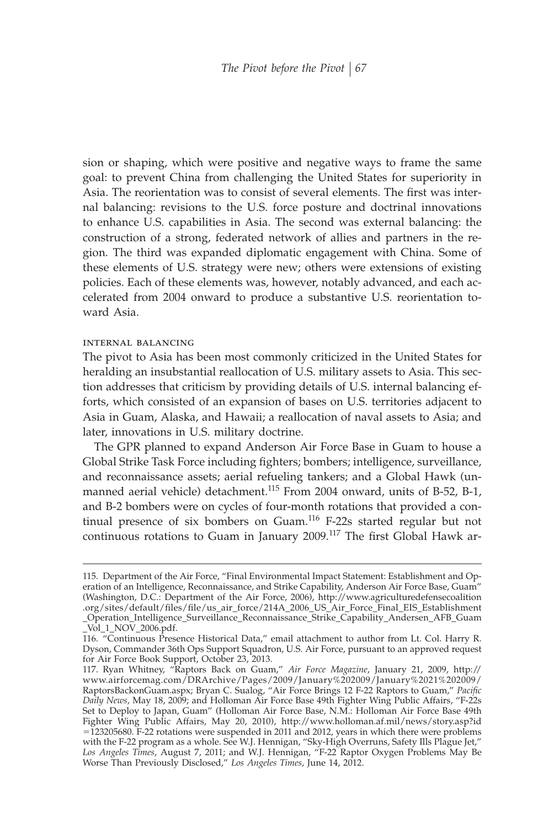sion or shaping, which were positive and negative ways to frame the same goal: to prevent China from challenging the United States for superiority in Asia. The reorientation was to consist of several elements. The first was internal balancing: revisions to the U.S. force posture and doctrinal innovations to enhance U.S. capabilities in Asia. The second was external balancing: the construction of a strong, federated network of allies and partners in the region. The third was expanded diplomatic engagement with China. Some of these elements of U.S. strategy were new; others were extensions of existing policies. Each of these elements was, however, notably advanced, and each accelerated from 2004 onward to produce a substantive U.S. reorientation toward Asia.

#### internal balancing

The pivot to Asia has been most commonly criticized in the United States for heralding an insubstantial reallocation of U.S. military assets to Asia. This section addresses that criticism by providing details of U.S. internal balancing efforts, which consisted of an expansion of bases on U.S. territories adjacent to Asia in Guam, Alaska, and Hawaii; a reallocation of naval assets to Asia; and later, innovations in U.S. military doctrine.

The GPR planned to expand Anderson Air Force Base in Guam to house a Global Strike Task Force including fighters; bombers; intelligence, surveillance, and reconnaissance assets; aerial refueling tankers; and a Global Hawk (unmanned aerial vehicle) detachment.<sup>115</sup> From 2004 onward, units of B-52, B-1, and B-2 bombers were on cycles of four-month rotations that provided a continual presence of six bombers on Guam.<sup>116</sup> F-22s started regular but not continuous rotations to Guam in January 2009.<sup>117</sup> The first Global Hawk ar-

<sup>115.</sup> Department of the Air Force, "Final Environmental Impact Statement: Establishment and Operation of an Intelligence, Reconnaissance, and Strike Capability, Anderson Air Force Base, Guam" (Washington, D.C.: Department of the Air Force, 2006), http://www.agriculturedefensecoalition .org/sites/default/ªles/ªle/us\_air\_force/214A\_2006\_US\_Air\_Force\_Final\_EIS\_Establishment \_Operation\_Intelligence\_Surveillance\_Reconnaissance\_Strike\_Capability\_Andersen\_AFB\_Guam \_Vol\_1\_NOV\_2006.pdf.

<sup>116. &</sup>quot;Continuous Presence Historical Data," email attachment to author from Lt. Col. Harry R. Dyson, Commander 36th Ops Support Squadron, U.S. Air Force, pursuant to an approved request for Air Force Book Support, October 23, 2013.

<sup>117.</sup> Ryan Whitney, "Raptors Back on Guam," *Air Force Magazine*, January 21, 2009, http:// www.airforcemag.com/DRArchive/Pages/2009/January%202009/January%2021%202009/ RaptorsBackonGuam.aspx; Bryan C. Sualog, "Air Force Brings 12 F-22 Raptors to Guam," *Pacific Daily News*, May 18, 2009; and Holloman Air Force Base 49th Fighter Wing Public Affairs, "F-22s Set to Deploy to Japan, Guam" (Holloman Air Force Base, N.M.: Holloman Air Force Base 49th Fighter Wing Public Affairs, May 20, 2010), http://www.holloman.af.mil/news/story.asp?id -123205680. F-22 rotations were suspended in 2011 and 2012, years in which there were problems with the F-22 program as a whole. See W.J. Hennigan, "Sky-High Overruns, Safety Ills Plague Jet," *Los Angeles Times*, August 7, 2011; and W.J. Hennigan, "F-22 Raptor Oxygen Problems May Be Worse Than Previously Disclosed," *Los Angeles Times*, June 14, 2012.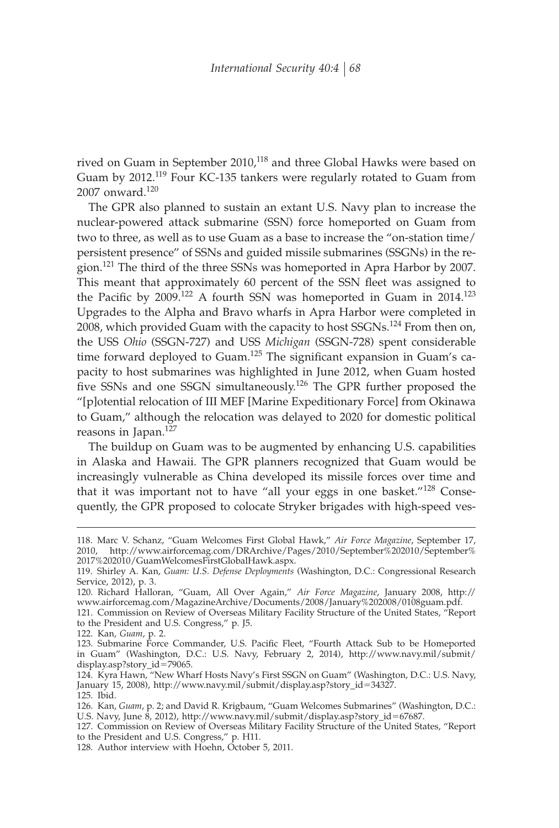rived on Guam in September 2010,<sup>118</sup> and three Global Hawks were based on Guam by 2012.<sup>119</sup> Four KC-135 tankers were regularly rotated to Guam from 2007 onward.<sup>120</sup>

The GPR also planned to sustain an extant U.S. Navy plan to increase the nuclear-powered attack submarine (SSN) force homeported on Guam from two to three, as well as to use Guam as a base to increase the "on-station time/ persistent presence" of SSNs and guided missile submarines (SSGNs) in the region.<sup>121</sup> The third of the three SSNs was homeported in Apra Harbor by 2007. This meant that approximately 60 percent of the SSN fleet was assigned to the Pacific by 2009.<sup>122</sup> A fourth SSN was homeported in Guam in  $2014$ .<sup>123</sup> Upgrades to the Alpha and Bravo wharfs in Apra Harbor were completed in 2008, which provided Guam with the capacity to host SSGNs.<sup>124</sup> From then on, the USS *Ohio* (SSGN-727) and USS *Michigan* (SSGN-728) spent considerable time forward deployed to Guam.<sup>125</sup> The significant expansion in Guam's capacity to host submarines was highlighted in June 2012, when Guam hosted five SSNs and one SSGN simultaneously.<sup>126</sup> The GPR further proposed the "[p]otential relocation of III MEF [Marine Expeditionary Force] from Okinawa to Guam," although the relocation was delayed to 2020 for domestic political reasons in Japan.<sup>127</sup>

The buildup on Guam was to be augmented by enhancing U.S. capabilities in Alaska and Hawaii. The GPR planners recognized that Guam would be increasingly vulnerable as China developed its missile forces over time and that it was important not to have "all your eggs in one basket." $128$  Consequently, the GPR proposed to colocate Stryker brigades with high-speed ves-

<sup>118.</sup> Marc V. Schanz, "Guam Welcomes First Global Hawk," *Air Force Magazine*, September 17, 2010, http://www.airforcemag.com/DRArchive/Pages/2010/September%202010/September% 2017%202010/GuamWelcomesFirstGlobalHawk.aspx.

<sup>119.</sup> Shirley A. Kan, *Guam: U.S. Defense Deployments* (Washington, D.C.: Congressional Research Service, 2012), p. 3.

<sup>120.</sup> Richard Halloran, "Guam, All Over Again," *Air Force Magazine*, January 2008, http:// www.airforcemag.com/MagazineArchive/Documents/2008/January%202008/0108guam.pdf.

<sup>121.</sup> Commission on Review of Overseas Military Facility Structure of the United States, "Report to the President and U.S. Congress," p. J5.

<sup>122.</sup> Kan, *Guam*, p. 2.

<sup>123.</sup> Submarine Force Commander, U.S. Pacific Fleet, "Fourth Attack Sub to be Homeported in Guam" (Washington, D.C.: U.S. Navy, February 2, 2014), http://www.navy.mil/submit/ display.asp?story\_id-79065.

<sup>124.</sup> Kyra Hawn, "New Wharf Hosts Navy's First SSGN on Guam" (Washington, D.C.: U.S. Navy, January 15, 2008), http://www.navy.mil/submit/display.asp?story\_id-34327. 125. Ibid.

<sup>126.</sup> Kan, *Guam*, p. 2; and David R. Krigbaum, "Guam Welcomes Submarines" (Washington, D.C.: U.S. Navy, June 8, 2012), http://www.navy.mil/submit/display.asp?story\_id-67687.

<sup>127.</sup> Commission on Review of Overseas Military Facility Structure of the United States, "Report to the President and U.S. Congress," p. H11.

<sup>128.</sup> Author interview with Hoehn, October 5, 2011.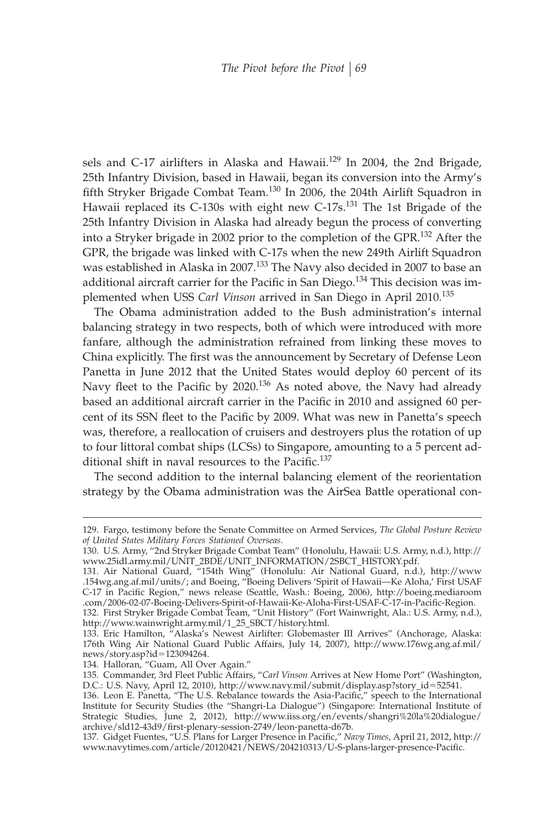sels and C-17 airlifters in Alaska and Hawaii.<sup>129</sup> In 2004, the 2nd Brigade, 25th Infantry Division, based in Hawaii, began its conversion into the Army's fifth Stryker Brigade Combat Team.<sup>130</sup> In 2006, the 204th Airlift Squadron in Hawaii replaced its C-130s with eight new C-17s.<sup>131</sup> The 1st Brigade of the 25th Infantry Division in Alaska had already begun the process of converting into a Stryker brigade in 2002 prior to the completion of the GPR.<sup>132</sup> After the GPR, the brigade was linked with C-17s when the new 249th Airlift Squadron was established in Alaska in 2007.<sup>133</sup> The Navy also decided in 2007 to base an additional aircraft carrier for the Pacific in San Diego.<sup>134</sup> This decision was implemented when USS *Carl Vinson* arrived in San Diego in April 2010.<sup>135</sup>

The Obama administration added to the Bush administration's internal balancing strategy in two respects, both of which were introduced with more fanfare, although the administration refrained from linking these moves to China explicitly. The first was the announcement by Secretary of Defense Leon Panetta in June 2012 that the United States would deploy 60 percent of its Navy fleet to the Pacific by 2020.<sup>136</sup> As noted above, the Navy had already based an additional aircraft carrier in the Pacific in 2010 and assigned 60 percent of its SSN fleet to the Pacific by 2009. What was new in Panetta's speech was, therefore, a reallocation of cruisers and destroyers plus the rotation of up to four littoral combat ships (LCSs) to Singapore, amounting to a 5 percent additional shift in naval resources to the Pacific. $137$ 

The second addition to the internal balancing element of the reorientation strategy by the Obama administration was the AirSea Battle operational con-

134. Halloran, "Guam, All Over Again."

<sup>129.</sup> Fargo, testimony before the Senate Committee on Armed Services, *The Global Posture Review of United States Military Forces Stationed Overseas*.

<sup>130.</sup> U.S. Army, "2nd Stryker Brigade Combat Team" (Honolulu, Hawaii: U.S. Army, n.d.), http:// www.25idl.army.mil/UNIT\_2BDE/UNIT\_INFORMATION/2SBCT\_HISTORY.pdf.

<sup>131.</sup> Air National Guard, "154th Wing" (Honolulu: Air National Guard, n.d.), http://www .154wg.ang.af.mil/units/; and Boeing, "Boeing Delivers 'Spirit of Hawaii—Ke Aloha,' First USAF C-17 in Pacific Region," news release (Seattle, Wash.: Boeing, 2006), http://boeing.mediaroom .com/2006-02-07-Boeing-Delivers-Spirit-of-Hawaii-Ke-Aloha-First-USAF-C-17-in-Pacific-Region. 132. First Stryker Brigade Combat Team, "Unit History" (Fort Wainwright, Ala.: U.S. Army, n.d.), http://www.wainwright.army.mil/1\_25\_SBCT/history.html.

<sup>133.</sup> Eric Hamilton, "Alaska's Newest Airlifter: Globemaster III Arrives" (Anchorage, Alaska: 176th Wing Air National Guard Public Affairs, July 14, 2007), http://www.176wg.ang.af.mil/ news/story.asp?id-123094264.

<sup>135.</sup> Commander, 3rd Fleet Public Affairs, "*Carl Vinson* Arrives at New Home Port" (Washington, D.C.: U.S. Navy, April 12, 2010), http://www.navy.mil/submit/display.asp?story\_id-52541.

<sup>136.</sup> Leon E. Panetta, "The U.S. Rebalance towards the Asia-Pacific," speech to the International Institute for Security Studies (the "Shangri-La Dialogue") (Singapore: International Institute of Strategic Studies, June 2, 2012), http://www.iiss.org/en/events/shangri%20la%20dialogue/ archive/sld12-43d9/first-plenary-session-2749/leon-panetta-d67b.

<sup>137.</sup> Gidget Fuentes, "U.S. Plans for Larger Presence in Pacific," *Navy Times*, April 21, 2012, http:// www.navytimes.com/article/20120421/NEWS/204210313/U-S-plans-larger-presence-Pacific.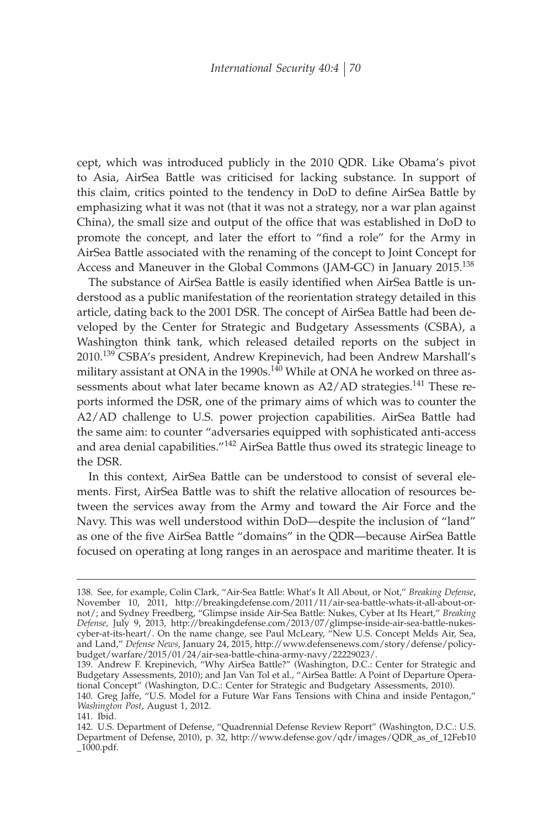cept, which was introduced publicly in the 2010 QDR. Like Obama's pivot to Asia, AirSea Battle was criticised for lacking substance. In support of this claim, critics pointed to the tendency in DoD to define AirSea Battle by emphasizing what it was not (that it was not a strategy, nor a war plan against China), the small size and output of the office that was established in DoD to promote the concept, and later the effort to "find a role" for the Army in AirSea Battle associated with the renaming of the concept to Joint Concept for Access and Maneuver in the Global Commons (JAM-GC) in January 2015.<sup>138</sup>

The substance of AirSea Battle is easily identified when AirSea Battle is understood as a public manifestation of the reorientation strategy detailed in this article, dating back to the 2001 DSR. The concept of AirSea Battle had been developed by the Center for Strategic and Budgetary Assessments (CSBA), a Washington think tank, which released detailed reports on the subject in 2010.<sup>139</sup> CSBA's president, Andrew Krepinevich, had been Andrew Marshall's military assistant at ONA in the 1990s.<sup>140</sup> While at ONA he worked on three assessments about what later became known as A2/AD strategies.<sup>141</sup> These reports informed the DSR, one of the primary aims of which was to counter the A2/AD challenge to U.S. power projection capabilities. AirSea Battle had the same aim: to counter "adversaries equipped with sophisticated anti-access and area denial capabilities."<sup>142</sup> AirSea Battle thus owed its strategic lineage to the DSR.

In this context, AirSea Battle can be understood to consist of several elements. First, AirSea Battle was to shift the relative allocation of resources between the services away from the Army and toward the Air Force and the Navy. This was well understood within DoD—despite the inclusion of "land" as one of the five AirSea Battle "domains" in the QDR—because AirSea Battle focused on operating at long ranges in an aerospace and maritime theater. It is

<sup>138.</sup> See, for example, Colin Clark, "Air-Sea Battle: What's It All About, or Not," *Breaking Defense*, November 10, 2011, http://breakingdefense.com/2011/11/air-sea-battle-whats-it-all-about-ornot/; and Sydney Freedberg, "Glimpse inside Air-Sea Battle: Nukes, Cyber at Its Heart," *Breaking Defense*, July 9, 2013, http://breakingdefense.com/2013/07/glimpse-inside-air-sea-battle-nukescyber-at-its-heart/. On the name change, see Paul McLeary, "New U.S. Concept Melds Air, Sea, and Land," *Defense News*, January 24, 2015, http://www.defensenews.com/story/defense/policybudget/warfare/2015/01/24/air-sea-battle-china-army-navy/22229023/.

<sup>139.</sup> Andrew F. Krepinevich, "Why AirSea Battle?" (Washington, D.C.: Center for Strategic and Budgetary Assessments, 2010); and Jan Van Tol et al., "AirSea Battle: A Point of Departure Operational Concept" (Washington, D.C.: Center for Strategic and Budgetary Assessments, 2010).

<sup>140.</sup> Greg Jaffe, "U.S. Model for a Future War Fans Tensions with China and inside Pentagon," *Washington Post*, August 1, 2012.

<sup>141.</sup> Ibid.

<sup>142.</sup> U.S. Department of Defense, "Quadrennial Defense Review Report" (Washington, D.C.: U.S. Department of Defense, 2010), p. 32, http://www.defense.gov/qdr/images/QDR\_as\_of\_12Feb10  $1000.pdf.$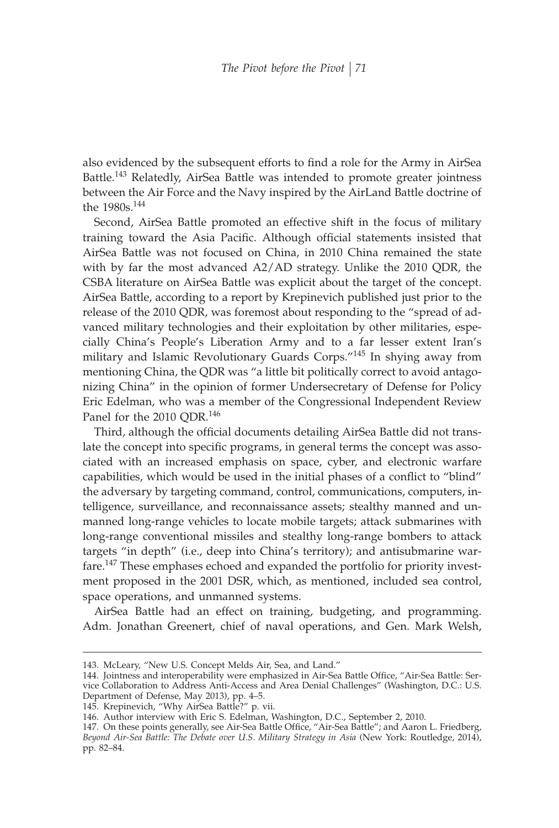also evidenced by the subsequent efforts to find a role for the Army in AirSea Battle.<sup>143</sup> Relatedly, AirSea Battle was intended to promote greater jointness between the Air Force and the Navy inspired by the AirLand Battle doctrine of the 1980s.<sup>144</sup>

Second, AirSea Battle promoted an effective shift in the focus of military training toward the Asia Pacific. Although official statements insisted that AirSea Battle was not focused on China, in 2010 China remained the state with by far the most advanced A2/AD strategy. Unlike the 2010 QDR, the CSBA literature on AirSea Battle was explicit about the target of the concept. AirSea Battle, according to a report by Krepinevich published just prior to the release of the 2010 QDR, was foremost about responding to the "spread of advanced military technologies and their exploitation by other militaries, especially China's People's Liberation Army and to a far lesser extent Iran's military and Islamic Revolutionary Guards Corps."<sup>145</sup> In shying away from mentioning China, the QDR was "a little bit politically correct to avoid antagonizing China" in the opinion of former Undersecretary of Defense for Policy Eric Edelman, who was a member of the Congressional Independent Review Panel for the 2010 QDR.<sup>146</sup>

Third, although the official documents detailing AirSea Battle did not translate the concept into specific programs, in general terms the concept was associated with an increased emphasis on space, cyber, and electronic warfare capabilities, which would be used in the initial phases of a conflict to "blind" the adversary by targeting command, control, communications, computers, intelligence, surveillance, and reconnaissance assets; stealthy manned and unmanned long-range vehicles to locate mobile targets; attack submarines with long-range conventional missiles and stealthy long-range bombers to attack targets "in depth" (i.e., deep into China's territory); and antisubmarine warfare.<sup>147</sup> These emphases echoed and expanded the portfolio for priority investment proposed in the 2001 DSR, which, as mentioned, included sea control, space operations, and unmanned systems.

AirSea Battle had an effect on training, budgeting, and programming. Adm. Jonathan Greenert, chief of naval operations, and Gen. Mark Welsh,

<sup>143.</sup> McLeary, "New U.S. Concept Melds Air, Sea, and Land."

<sup>144.</sup> Jointness and interoperability were emphasized in Air-Sea Battle Office, "Air-Sea Battle: Service Collaboration to Address Anti-Access and Area Denial Challenges" (Washington, D.C.: U.S. Department of Defense, May 2013), pp. 4–5.

<sup>145.</sup> Krepinevich, "Why AirSea Battle?" p. vii.

<sup>146.</sup> Author interview with Eric S. Edelman, Washington, D.C., September 2, 2010.

<sup>147.</sup> On these points generally, see Air-Sea Battle Office, "Air-Sea Battle"; and Aaron L. Friedberg, *Beyond Air-Sea Battle: The Debate over U.S. Military Strategy in Asia* (New York: Routledge, 2014), pp. 82–84.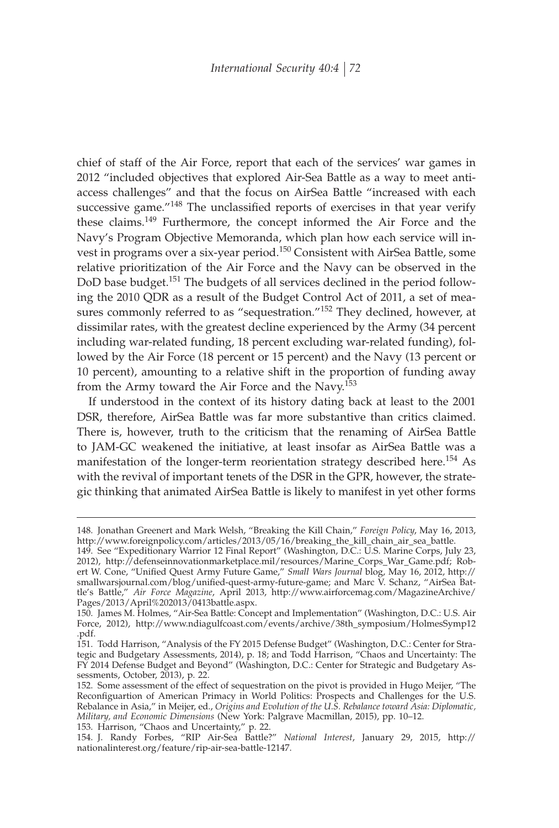chief of staff of the Air Force, report that each of the services' war games in 2012 "included objectives that explored Air-Sea Battle as a way to meet antiaccess challenges" and that the focus on AirSea Battle "increased with each successive game. $148$  The unclassified reports of exercises in that year verify these claims.<sup>149</sup> Furthermore, the concept informed the Air Force and the Navy's Program Objective Memoranda, which plan how each service will invest in programs over a six-year period.<sup>150</sup> Consistent with AirSea Battle, some relative prioritization of the Air Force and the Navy can be observed in the DoD base budget.<sup>151</sup> The budgets of all services declined in the period following the 2010 QDR as a result of the Budget Control Act of 2011, a set of measures commonly referred to as "sequestration."<sup>152</sup> They declined, however, at dissimilar rates, with the greatest decline experienced by the Army (34 percent including war-related funding, 18 percent excluding war-related funding), followed by the Air Force (18 percent or 15 percent) and the Navy (13 percent or 10 percent), amounting to a relative shift in the proportion of funding away from the Army toward the Air Force and the Navy.<sup>153</sup>

If understood in the context of its history dating back at least to the 2001 DSR, therefore, AirSea Battle was far more substantive than critics claimed. There is, however, truth to the criticism that the renaming of AirSea Battle to JAM-GC weakened the initiative, at least insofar as AirSea Battle was a manifestation of the longer-term reorientation strategy described here.<sup>154</sup> As with the revival of important tenets of the DSR in the GPR, however, the strategic thinking that animated AirSea Battle is likely to manifest in yet other forms

153. Harrison, "Chaos and Uncertainty," p. 22.

<sup>148.</sup> Jonathan Greenert and Mark Welsh, "Breaking the Kill Chain," *Foreign Policy*, May 16, 2013, http://www.foreignpolicy.com/articles/2013/05/16/breaking\_the\_kill\_chain\_air\_sea\_battle.

<sup>149.</sup> See "Expeditionary Warrior 12 Final Report" (Washington, D.C.: U.S. Marine Corps, July 23, 2012), http://defenseinnovationmarketplace.mil/resources/Marine\_Corps\_War\_Game.pdf; Robert W. Cone, "Uniªed Quest Army Future Game," *Small Wars Journal* blog, May 16, 2012, http:// smallwarsjournal.com/blog/unified-quest-army-future-game; and Marc V. Schanz, "AirSea Battle's Battle," *Air Force Magazine*, April 2013, http://www.airforcemag.com/MagazineArchive/ Pages/2013/April%202013/0413battle.aspx.

<sup>150.</sup> James M. Holmes, "Air-Sea Battle: Concept and Implementation" (Washington, D.C.: U.S. Air Force, 2012), http://www.ndiagulfcoast.com/events/archive/38th\_symposium/HolmesSymp12 .pdf.

<sup>151.</sup> Todd Harrison, "Analysis of the FY 2015 Defense Budget" (Washington, D.C.: Center for Strategic and Budgetary Assessments, 2014), p. 18; and Todd Harrison, "Chaos and Uncertainty: The FY 2014 Defense Budget and Beyond" (Washington, D.C.: Center for Strategic and Budgetary Assessments, October, 2013), p. 22.

<sup>152.</sup> Some assessment of the effect of sequestration on the pivot is provided in Hugo Meijer, "The Reconfiguartion of American Primacy in World Politics: Prospects and Challenges for the U.S. Rebalance in Asia," in Meijer, ed., *Origins and Evolution of the U.S. Rebalance toward Asia: Diplomatic, Military, and Economic Dimensions* (New York: Palgrave Macmillan, 2015), pp. 10–12.

<sup>154.</sup> J. Randy Forbes, "RIP Air-Sea Battle?" *National Interest*, January 29, 2015, http:// nationalinterest.org/feature/rip-air-sea-battle-12147.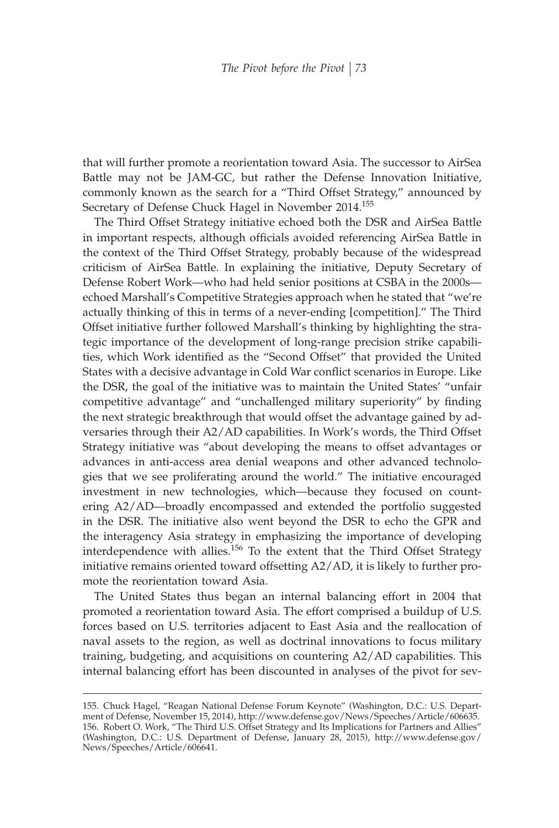that will further promote a reorientation toward Asia. The successor to AirSea Battle may not be JAM-GC, but rather the Defense Innovation Initiative, commonly known as the search for a "Third Offset Strategy," announced by Secretary of Defense Chuck Hagel in November 2014.<sup>155</sup>

The Third Offset Strategy initiative echoed both the DSR and AirSea Battle in important respects, although officials avoided referencing AirSea Battle in the context of the Third Offset Strategy, probably because of the widespread criticism of AirSea Battle. In explaining the initiative, Deputy Secretary of Defense Robert Work—who had held senior positions at CSBA in the 2000s echoed Marshall's Competitive Strategies approach when he stated that "we're actually thinking of this in terms of a never-ending [competition]." The Third Offset initiative further followed Marshall's thinking by highlighting the strategic importance of the development of long-range precision strike capabilities, which Work identified as the "Second Offset" that provided the United States with a decisive advantage in Cold War conflict scenarios in Europe. Like the DSR, the goal of the initiative was to maintain the United States' "unfair competitive advantage" and "unchallenged military superiority" by finding the next strategic breakthrough that would offset the advantage gained by adversaries through their A2/AD capabilities. In Work's words, the Third Offset Strategy initiative was "about developing the means to offset advantages or advances in anti-access area denial weapons and other advanced technologies that we see proliferating around the world." The initiative encouraged investment in new technologies, which—because they focused on countering A2/AD—broadly encompassed and extended the portfolio suggested in the DSR. The initiative also went beyond the DSR to echo the GPR and the interagency Asia strategy in emphasizing the importance of developing interdependence with allies.<sup>156</sup> To the extent that the Third Offset Strategy initiative remains oriented toward offsetting A2/AD, it is likely to further promote the reorientation toward Asia.

The United States thus began an internal balancing effort in 2004 that promoted a reorientation toward Asia. The effort comprised a buildup of U.S. forces based on U.S. territories adjacent to East Asia and the reallocation of naval assets to the region, as well as doctrinal innovations to focus military training, budgeting, and acquisitions on countering A2/AD capabilities. This internal balancing effort has been discounted in analyses of the pivot for sev-

<sup>155.</sup> Chuck Hagel, "Reagan National Defense Forum Keynote" (Washington, D.C.: U.S. Department of Defense, November 15, 2014), http://www.defense.gov/News/Speeches/Article/606635. 156. Robert O. Work, "The Third U.S. Offset Strategy and Its Implications for Partners and Allies" (Washington, D.C.: U.S. Department of Defense, January 28, 2015), http://www.defense.gov/ News/Speeches/Article/606641.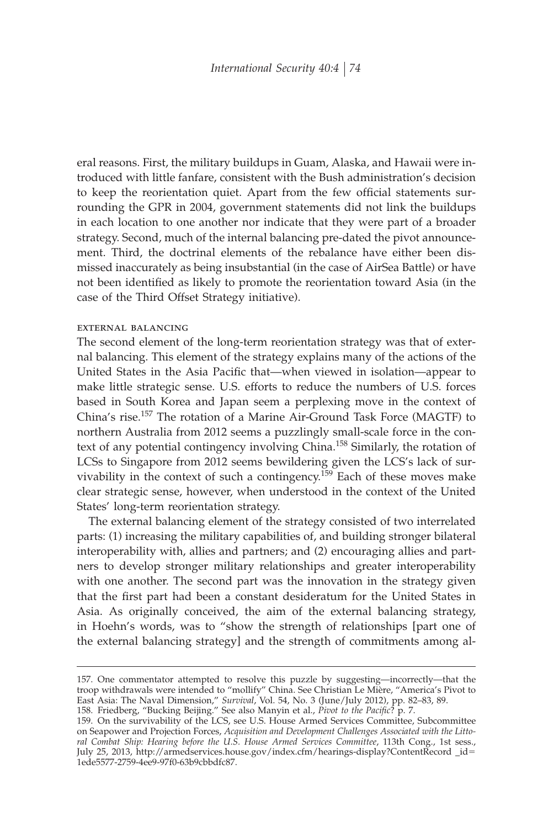eral reasons. First, the military buildups in Guam, Alaska, and Hawaii were introduced with little fanfare, consistent with the Bush administration's decision to keep the reorientation quiet. Apart from the few official statements surrounding the GPR in 2004, government statements did not link the buildups in each location to one another nor indicate that they were part of a broader strategy. Second, much of the internal balancing pre-dated the pivot announcement. Third, the doctrinal elements of the rebalance have either been dismissed inaccurately as being insubstantial (in the case of AirSea Battle) or have not been identified as likely to promote the reorientation toward Asia (in the case of the Third Offset Strategy initiative).

### external balancing

The second element of the long-term reorientation strategy was that of external balancing. This element of the strategy explains many of the actions of the United States in the Asia Pacific that—when viewed in isolation—appear to make little strategic sense. U.S. efforts to reduce the numbers of U.S. forces based in South Korea and Japan seem a perplexing move in the context of China's rise.<sup>157</sup> The rotation of a Marine Air-Ground Task Force (MAGTF) to northern Australia from 2012 seems a puzzlingly small-scale force in the context of any potential contingency involving China.<sup>158</sup> Similarly, the rotation of LCSs to Singapore from 2012 seems bewildering given the LCS's lack of survivability in the context of such a contingency.<sup>159</sup> Each of these moves make clear strategic sense, however, when understood in the context of the United States' long-term reorientation strategy.

The external balancing element of the strategy consisted of two interrelated parts: (1) increasing the military capabilities of, and building stronger bilateral interoperability with, allies and partners; and (2) encouraging allies and partners to develop stronger military relationships and greater interoperability with one another. The second part was the innovation in the strategy given that the first part had been a constant desideratum for the United States in Asia. As originally conceived, the aim of the external balancing strategy, in Hoehn's words, was to "show the strength of relationships [part one of the external balancing strategy] and the strength of commitments among al-

<sup>157.</sup> One commentator attempted to resolve this puzzle by suggesting—incorrectly—that the troop withdrawals were intended to "mollify" China. See Christian Le Mière, "America's Pivot to East Asia: The Naval Dimension," *Survival*, Vol. 54, No. 3 (June/July 2012), pp. 82–83, 89. 158. Friedberg, "Bucking Beijing." See also Manyin et al., *Pivot to the Pacific*? p. 7.

<sup>159.</sup> On the survivability of the LCS, see U.S. House Armed Services Committee, Subcommittee on Seapower and Projection Forces, *Acquisition and Development Challenges Associated with the Littoral Combat Ship: Hearing before the U.S. House Armed Services Committee*, 113th Cong., 1st sess., July 25, 2013, http://armedservices.house.gov/index.cfm/hearings-display?ContentRecord \_id- 1ede5577-2759-4ee9-97f0-63b9cbbdfc87.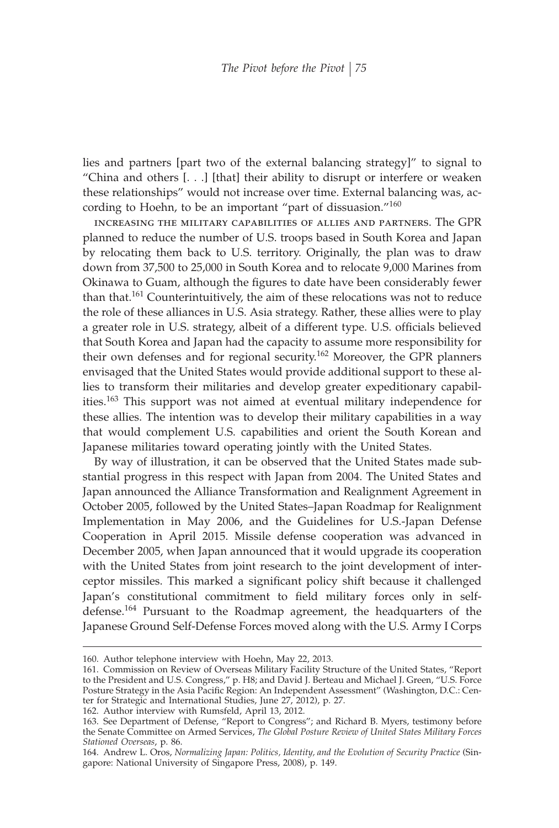lies and partners [part two of the external balancing strategy]" to signal to "China and others [. . .] [that] their ability to disrupt or interfere or weaken these relationships" would not increase over time. External balancing was, according to Hoehn, to be an important "part of dissuasion."<sup>160</sup>

increasing the military capabilities of allies and partners. The GPR planned to reduce the number of U.S. troops based in South Korea and Japan by relocating them back to U.S. territory. Originally, the plan was to draw down from 37,500 to 25,000 in South Korea and to relocate 9,000 Marines from Okinawa to Guam, although the figures to date have been considerably fewer than that.<sup>161</sup> Counterintuitively, the aim of these relocations was not to reduce the role of these alliances in U.S. Asia strategy. Rather, these allies were to play a greater role in U.S. strategy, albeit of a different type. U.S. officials believed that South Korea and Japan had the capacity to assume more responsibility for their own defenses and for regional security.<sup>162</sup> Moreover, the GPR planners envisaged that the United States would provide additional support to these allies to transform their militaries and develop greater expeditionary capabilities.<sup>163</sup> This support was not aimed at eventual military independence for these allies. The intention was to develop their military capabilities in a way that would complement U.S. capabilities and orient the South Korean and Japanese militaries toward operating jointly with the United States.

By way of illustration, it can be observed that the United States made substantial progress in this respect with Japan from 2004. The United States and Japan announced the Alliance Transformation and Realignment Agreement in October 2005, followed by the United States–Japan Roadmap for Realignment Implementation in May 2006, and the Guidelines for U.S.-Japan Defense Cooperation in April 2015. Missile defense cooperation was advanced in December 2005, when Japan announced that it would upgrade its cooperation with the United States from joint research to the joint development of interceptor missiles. This marked a significant policy shift because it challenged Japan's constitutional commitment to field military forces only in selfdefense.<sup>164</sup> Pursuant to the Roadmap agreement, the headquarters of the Japanese Ground Self-Defense Forces moved along with the U.S. Army I Corps

<sup>160.</sup> Author telephone interview with Hoehn, May 22, 2013.

<sup>161.</sup> Commission on Review of Overseas Military Facility Structure of the United States, "Report to the President and U.S. Congress," p. H8; and David J. Berteau and Michael J. Green, "U.S. Force Posture Strategy in the Asia Pacific Region: An Independent Assessment" (Washington, D.C.: Center for Strategic and International Studies, June 27, 2012), p. 27.

<sup>162.</sup> Author interview with Rumsfeld, April 13, 2012.

<sup>163.</sup> See Department of Defense, "Report to Congress"; and Richard B. Myers, testimony before the Senate Committee on Armed Services, *The Global Posture Review of United States Military Forces Stationed Overseas*, p. 86.

<sup>164.</sup> Andrew L. Oros, *Normalizing Japan: Politics, Identity, and the Evolution of Security Practice* (Singapore: National University of Singapore Press, 2008), p. 149.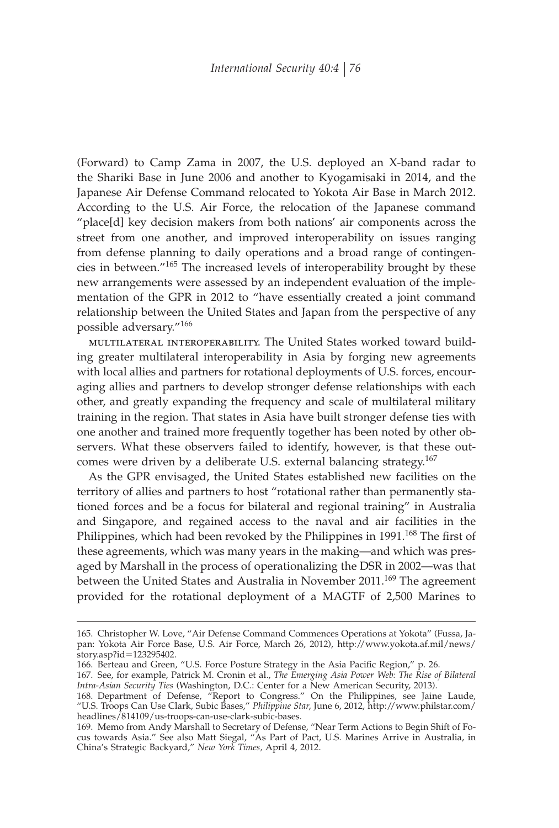(Forward) to Camp Zama in 2007, the U.S. deployed an X-band radar to the Shariki Base in June 2006 and another to Kyogamisaki in 2014, and the Japanese Air Defense Command relocated to Yokota Air Base in March 2012. According to the U.S. Air Force, the relocation of the Japanese command "place[d] key decision makers from both nations' air components across the street from one another, and improved interoperability on issues ranging from defense planning to daily operations and a broad range of contingencies in between."<sup>165</sup> The increased levels of interoperability brought by these new arrangements were assessed by an independent evaluation of the implementation of the GPR in 2012 to "have essentially created a joint command relationship between the United States and Japan from the perspective of any possible adversary."<sup>166</sup>

multilateral interoperability. The United States worked toward building greater multilateral interoperability in Asia by forging new agreements with local allies and partners for rotational deployments of U.S. forces, encouraging allies and partners to develop stronger defense relationships with each other, and greatly expanding the frequency and scale of multilateral military training in the region. That states in Asia have built stronger defense ties with one another and trained more frequently together has been noted by other observers. What these observers failed to identify, however, is that these outcomes were driven by a deliberate U.S. external balancing strategy.<sup>167</sup>

As the GPR envisaged, the United States established new facilities on the territory of allies and partners to host "rotational rather than permanently stationed forces and be a focus for bilateral and regional training" in Australia and Singapore, and regained access to the naval and air facilities in the Philippines, which had been revoked by the Philippines in  $1991<sup>168</sup>$  The first of these agreements, which was many years in the making—and which was presaged by Marshall in the process of operationalizing the DSR in 2002—was that between the United States and Australia in November 2011.<sup>169</sup> The agreement provided for the rotational deployment of a MAGTF of 2,500 Marines to

<sup>165.</sup> Christopher W. Love, "Air Defense Command Commences Operations at Yokota" (Fussa, Japan: Yokota Air Force Base, U.S. Air Force, March 26, 2012), http://www.yokota.af.mil/news/ story.asp?id-123295402.

<sup>166.</sup> Berteau and Green, "U.S. Force Posture Strategy in the Asia Pacific Region," p. 26.

<sup>167.</sup> See, for example, Patrick M. Cronin et al., *The Emerging Asia Power Web: The Rise of Bilateral Intra-Asian Security Ties* (Washington, D.C.: Center for a New American Security, 2013).

<sup>168.</sup> Department of Defense, "Report to Congress." On the Philippines, see Jaine Laude, "U.S. Troops Can Use Clark, Subic Bases," *Philippine Star*, June 6, 2012, http://www.philstar.com/ headlines/814109/us-troops-can-use-clark-subic-bases.

<sup>169.</sup> Memo from Andy Marshall to Secretary of Defense, "Near Term Actions to Begin Shift of Focus towards Asia." See also Matt Siegal, "As Part of Pact, U.S. Marines Arrive in Australia, in China's Strategic Backyard," *New York Times,* April 4, 2012.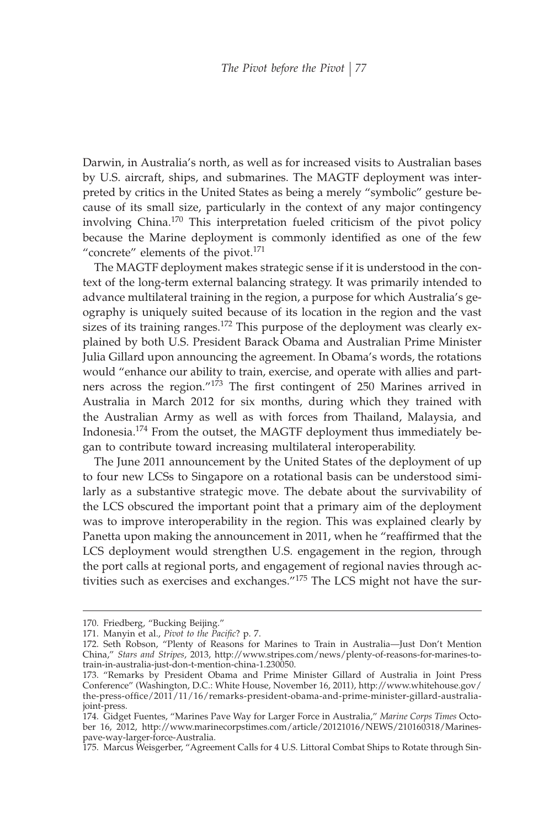Darwin, in Australia's north, as well as for increased visits to Australian bases by U.S. aircraft, ships, and submarines. The MAGTF deployment was interpreted by critics in the United States as being a merely "symbolic" gesture because of its small size, particularly in the context of any major contingency involving China.<sup>170</sup> This interpretation fueled criticism of the pivot policy because the Marine deployment is commonly identified as one of the few "concrete" elements of the pivot.<sup>171</sup>

The MAGTF deployment makes strategic sense if it is understood in the context of the long-term external balancing strategy. It was primarily intended to advance multilateral training in the region, a purpose for which Australia's geography is uniquely suited because of its location in the region and the vast sizes of its training ranges.<sup>172</sup> This purpose of the deployment was clearly explained by both U.S. President Barack Obama and Australian Prime Minister Julia Gillard upon announcing the agreement. In Obama's words, the rotations would "enhance our ability to train, exercise, and operate with allies and partners across the region."<sup>173</sup> The first contingent of 250 Marines arrived in Australia in March 2012 for six months, during which they trained with the Australian Army as well as with forces from Thailand, Malaysia, and Indonesia.<sup>174</sup> From the outset, the MAGTF deployment thus immediately began to contribute toward increasing multilateral interoperability.

The June 2011 announcement by the United States of the deployment of up to four new LCSs to Singapore on a rotational basis can be understood similarly as a substantive strategic move. The debate about the survivability of the LCS obscured the important point that a primary aim of the deployment was to improve interoperability in the region. This was explained clearly by Panetta upon making the announcement in 2011, when he "reaffirmed that the LCS deployment would strengthen U.S. engagement in the region, through the port calls at regional ports, and engagement of regional navies through activities such as exercises and exchanges." $175$  The LCS might not have the sur-

<sup>170.</sup> Friedberg, "Bucking Beijing."

<sup>171.</sup> Manyin et al., *Pivot to the Pacific*? p. 7.

<sup>172.</sup> Seth Robson, "Plenty of Reasons for Marines to Train in Australia—Just Don't Mention China," *Stars and Stripes*, 2013, http://www.stripes.com/news/plenty-of-reasons-for-marines-totrain-in-australia-just-don-t-mention-china-1.230050.

<sup>173. &</sup>quot;Remarks by President Obama and Prime Minister Gillard of Australia in Joint Press Conference" (Washington, D.C.: White House, November 16, 2011), http://www.whitehouse.gov/ the-press-office/2011/11/16/remarks-president-obama-and-prime-minister-gillard-australiajoint-press.

<sup>174.</sup> Gidget Fuentes, "Marines Pave Way for Larger Force in Australia," *Marine Corps Times* October 16, 2012, http://www.marinecorpstimes.com/article/20121016/NEWS/210160318/Marinespave-way-larger-force-Australia.

<sup>175.</sup> Marcus Weisgerber, "Agreement Calls for 4 U.S. Littoral Combat Ships to Rotate through Sin-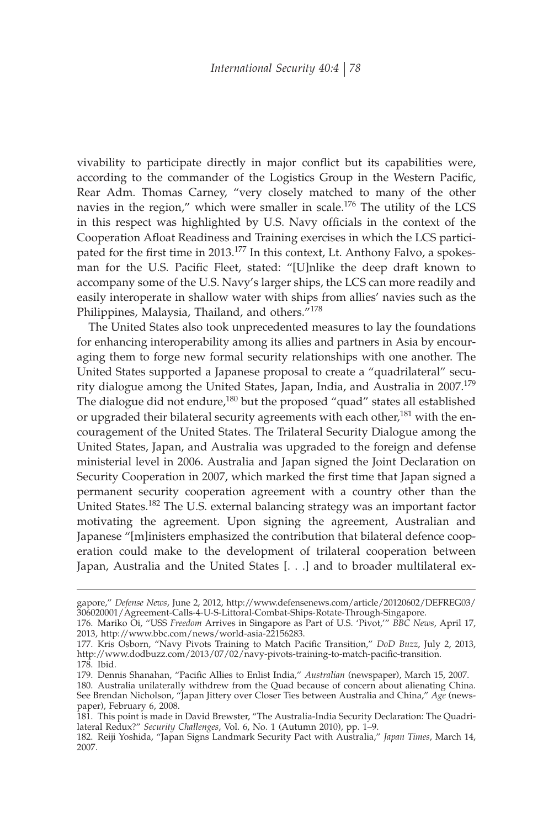vivability to participate directly in major conflict but its capabilities were, according to the commander of the Logistics Group in the Western Pacific, Rear Adm. Thomas Carney, "very closely matched to many of the other navies in the region," which were smaller in scale.<sup>176</sup> The utility of the LCS in this respect was highlighted by U.S. Navy officials in the context of the Cooperation Afloat Readiness and Training exercises in which the LCS participated for the first time in 2013.<sup>177</sup> In this context, Lt. Anthony Falvo, a spokesman for the U.S. Pacific Fleet, stated: "[U]nlike the deep draft known to accompany some of the U.S. Navy's larger ships, the LCS can more readily and easily interoperate in shallow water with ships from allies' navies such as the Philippines, Malaysia, Thailand, and others.<sup>"178</sup>

The United States also took unprecedented measures to lay the foundations for enhancing interoperability among its allies and partners in Asia by encouraging them to forge new formal security relationships with one another. The United States supported a Japanese proposal to create a "quadrilateral" security dialogue among the United States, Japan, India, and Australia in 2007.<sup>179</sup> The dialogue did not endure,  $180$  but the proposed "quad" states all established or upgraded their bilateral security agreements with each other,<sup>181</sup> with the encouragement of the United States. The Trilateral Security Dialogue among the United States, Japan, and Australia was upgraded to the foreign and defense ministerial level in 2006. Australia and Japan signed the Joint Declaration on Security Cooperation in 2007, which marked the first time that Japan signed a permanent security cooperation agreement with a country other than the United States.<sup>182</sup> The U.S. external balancing strategy was an important factor motivating the agreement. Upon signing the agreement, Australian and Japanese "[m]inisters emphasized the contribution that bilateral defence cooperation could make to the development of trilateral cooperation between Japan, Australia and the United States [. . .] and to broader multilateral ex-

gapore," *Defense News*, June 2, 2012, http://www.defensenews.com/article/20120602/DEFREG03/ 306020001/Agreement-Calls-4-U-S-Littoral-Combat-Ships-Rotate-Through-Singapore.

<sup>176.</sup> Mariko Oi, "USS *Freedom* Arrives in Singapore as Part of U.S. 'Pivot,'" *BBC News*, April 17, 2013, http://www.bbc.com/news/world-asia-22156283.

<sup>177.</sup> Kris Osborn, "Navy Pivots Training to Match Pacific Transition," *DoD Buzz*, July 2, 2013, http://www.dodbuzz.com/2013/07/02/navy-pivots-training-to-match-pacific-transition. 178. Ibid.

<sup>179.</sup> Dennis Shanahan, "Pacific Allies to Enlist India," Australian (newspaper), March 15, 2007.

<sup>180.</sup> Australia unilaterally withdrew from the Quad because of concern about alienating China. See Brendan Nicholson, "Japan Jittery over Closer Ties between Australia and China," *Age* (newspaper), February 6, 2008.

<sup>181.</sup> This point is made in David Brewster, "The Australia-India Security Declaration: The Quadrilateral Redux?" *Security Challenges*, Vol. 6, No. 1 (Autumn 2010), pp. 1–9.

<sup>182.</sup> Reiji Yoshida, "Japan Signs Landmark Security Pact with Australia," *Japan Times*, March 14, 2007.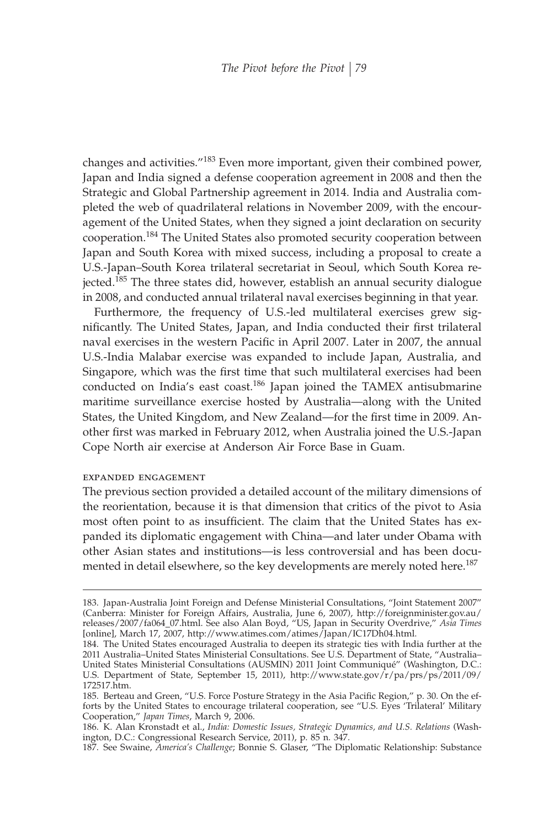changes and activities."<sup>183</sup> Even more important, given their combined power, Japan and India signed a defense cooperation agreement in 2008 and then the Strategic and Global Partnership agreement in 2014. India and Australia completed the web of quadrilateral relations in November 2009, with the encouragement of the United States, when they signed a joint declaration on security cooperation.<sup>184</sup> The United States also promoted security cooperation between Japan and South Korea with mixed success, including a proposal to create a U.S.-Japan–South Korea trilateral secretariat in Seoul, which South Korea rejected.<sup>185</sup> The three states did, however, establish an annual security dialogue in 2008, and conducted annual trilateral naval exercises beginning in that year.

Furthermore, the frequency of U.S.-led multilateral exercises grew significantly. The United States, Japan, and India conducted their first trilateral naval exercises in the western Pacific in April 2007. Later in 2007, the annual U.S.-India Malabar exercise was expanded to include Japan, Australia, and Singapore, which was the first time that such multilateral exercises had been conducted on India's east coast.<sup>186</sup> Japan joined the TAMEX antisubmarine maritime surveillance exercise hosted by Australia—along with the United States, the United Kingdom, and New Zealand—for the first time in 2009. Another first was marked in February 2012, when Australia joined the U.S.-Japan Cope North air exercise at Anderson Air Force Base in Guam.

#### expanded engagement

The previous section provided a detailed account of the military dimensions of the reorientation, because it is that dimension that critics of the pivot to Asia most often point to as insufficient. The claim that the United States has expanded its diplomatic engagement with China—and later under Obama with other Asian states and institutions—is less controversial and has been documented in detail elsewhere, so the key developments are merely noted here.<sup>187</sup>

<sup>183.</sup> Japan-Australia Joint Foreign and Defense Ministerial Consultations, "Joint Statement 2007" (Canberra: Minister for Foreign Affairs, Australia, June 6, 2007), http://foreignminister.gov.au/ releases/2007/fa064\_07.html. See also Alan Boyd, "US, Japan in Security Overdrive," *Asia Times* [online], March 17, 2007, http://www.atimes.com/atimes/Japan/IC17Dh04.html.

<sup>184.</sup> The United States encouraged Australia to deepen its strategic ties with India further at the 2011 Australia–United States Ministerial Consultations. See U.S. Department of State, "Australia– United States Ministerial Consultations (AUSMIN) 2011 Joint Communiqué" (Washington, D.C.: U.S. Department of State, September 15, 2011), http://www.state.gov/r/pa/prs/ps/2011/09/ 172517.htm.

<sup>185.</sup> Berteau and Green, "U.S. Force Posture Strategy in the Asia Pacific Region," p. 30. On the efforts by the United States to encourage trilateral cooperation, see "U.S. Eyes 'Trilateral' Military Cooperation," *Japan Times*, March 9, 2006.

<sup>186.</sup> K. Alan Kronstadt et al., *India: Domestic Issues, Strategic Dynamics, and U.S. Relations* (Washington, D.C.: Congressional Research Service, 2011), p. 85 n. 347.

<sup>187.</sup> See Swaine, *America's Challenge*; Bonnie S. Glaser, "The Diplomatic Relationship: Substance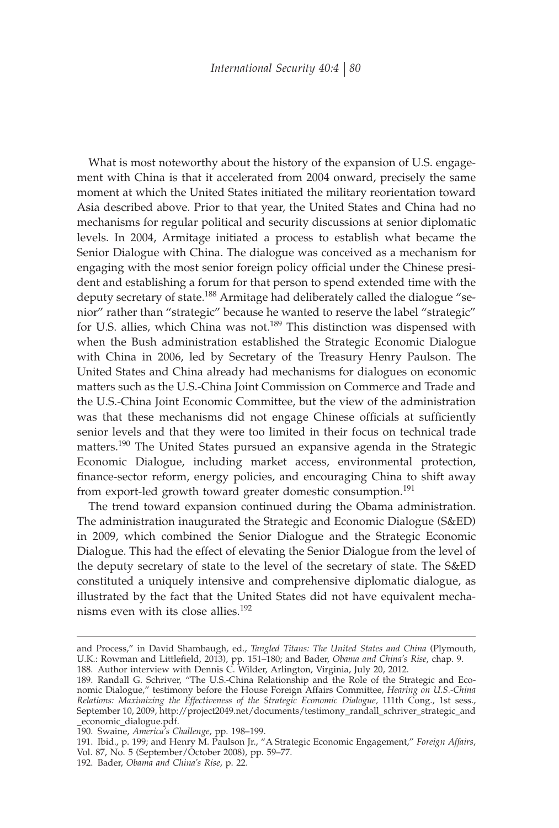What is most noteworthy about the history of the expansion of U.S. engagement with China is that it accelerated from 2004 onward, precisely the same moment at which the United States initiated the military reorientation toward Asia described above. Prior to that year, the United States and China had no mechanisms for regular political and security discussions at senior diplomatic levels. In 2004, Armitage initiated a process to establish what became the Senior Dialogue with China. The dialogue was conceived as a mechanism for engaging with the most senior foreign policy official under the Chinese president and establishing a forum for that person to spend extended time with the deputy secretary of state.<sup>188</sup> Armitage had deliberately called the dialogue "senior" rather than "strategic" because he wanted to reserve the label "strategic" for U.S. allies, which China was not.<sup>189</sup> This distinction was dispensed with when the Bush administration established the Strategic Economic Dialogue with China in 2006, led by Secretary of the Treasury Henry Paulson. The United States and China already had mechanisms for dialogues on economic matters such as the U.S.-China Joint Commission on Commerce and Trade and the U.S.-China Joint Economic Committee, but the view of the administration was that these mechanisms did not engage Chinese officials at sufficiently senior levels and that they were too limited in their focus on technical trade matters.<sup>190</sup> The United States pursued an expansive agenda in the Strategic Economic Dialogue, including market access, environmental protection, finance-sector reform, energy policies, and encouraging China to shift away from export-led growth toward greater domestic consumption.<sup>191</sup>

The trend toward expansion continued during the Obama administration. The administration inaugurated the Strategic and Economic Dialogue (S&ED) in 2009, which combined the Senior Dialogue and the Strategic Economic Dialogue. This had the effect of elevating the Senior Dialogue from the level of the deputy secretary of state to the level of the secretary of state. The S&ED constituted a uniquely intensive and comprehensive diplomatic dialogue, as illustrated by the fact that the United States did not have equivalent mechanisms even with its close allies.<sup>192</sup>

192. Bader, *Obama and China's Rise*, p. 22.

and Process," in David Shambaugh, ed., *Tangled Titans: The United States and China* (Plymouth, U.K.: Rowman and Littlefield, 2013), pp. 151–180; and Bader, *Obama and China's Rise*, chap. 9.

<sup>188.</sup> Author interview with Dennis C. Wilder, Arlington, Virginia, July 20, 2012.

<sup>189.</sup> Randall G. Schriver, "The U.S.-China Relationship and the Role of the Strategic and Economic Dialogue," testimony before the House Foreign Affairs Committee, *Hearing on U.S.-China Relations: Maximizing the Effectiveness of the Strategic Economic Dialogue,* 111th Cong., 1st sess., September 10, 2009, http://project2049.net/documents/testimony\_randall\_schriver\_strategic\_and \_economic\_dialogue.pdf.

<sup>190.</sup> Swaine, *America's Challenge*, pp. 198–199.

<sup>191.</sup> Ibid., p. 199; and Henry M. Paulson Jr., "A Strategic Economic Engagement," *Foreign Affairs*, Vol. 87, No. 5 (September/October 2008), pp. 59–77.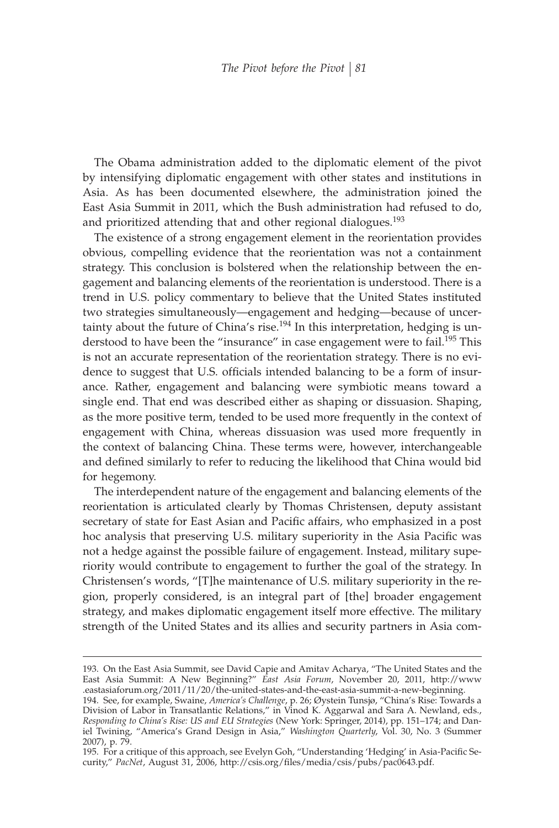The Obama administration added to the diplomatic element of the pivot by intensifying diplomatic engagement with other states and institutions in Asia. As has been documented elsewhere, the administration joined the East Asia Summit in 2011, which the Bush administration had refused to do, and prioritized attending that and other regional dialogues.<sup>193</sup>

The existence of a strong engagement element in the reorientation provides obvious, compelling evidence that the reorientation was not a containment strategy. This conclusion is bolstered when the relationship between the engagement and balancing elements of the reorientation is understood. There is a trend in U.S. policy commentary to believe that the United States instituted two strategies simultaneously—engagement and hedging—because of uncertainty about the future of China's rise.<sup>194</sup> In this interpretation, hedging is understood to have been the "insurance" in case engagement were to fail.<sup>195</sup> This is not an accurate representation of the reorientation strategy. There is no evidence to suggest that U.S. officials intended balancing to be a form of insurance. Rather, engagement and balancing were symbiotic means toward a single end. That end was described either as shaping or dissuasion. Shaping, as the more positive term, tended to be used more frequently in the context of engagement with China, whereas dissuasion was used more frequently in the context of balancing China. These terms were, however, interchangeable and defined similarly to refer to reducing the likelihood that China would bid for hegemony.

The interdependent nature of the engagement and balancing elements of the reorientation is articulated clearly by Thomas Christensen, deputy assistant secretary of state for East Asian and Pacific affairs, who emphasized in a post hoc analysis that preserving U.S. military superiority in the Asia Pacific was not a hedge against the possible failure of engagement. Instead, military superiority would contribute to engagement to further the goal of the strategy. In Christensen's words, "[T]he maintenance of U.S. military superiority in the region, properly considered, is an integral part of [the] broader engagement strategy, and makes diplomatic engagement itself more effective. The military strength of the United States and its allies and security partners in Asia com-

<sup>193.</sup> On the East Asia Summit, see David Capie and Amitav Acharya, "The United States and the East Asia Summit: A New Beginning?" *East Asia Forum*, November 20, 2011, http://www .eastasiaforum.org/2011/11/20/the-united-states-and-the-east-asia-summit-a-new-beginning.

<sup>194.</sup> See, for example, Swaine, *America's Challenge*, p. 26; Øystein Tunsjø, "China's Rise: Towards a Division of Labor in Transatlantic Relations," in Vinod K. Aggarwal and Sara A. Newland, eds., *Responding to China's Rise: US and EU Strategies* (New York: Springer, 2014), pp. 151–174; and Daniel Twining, "America's Grand Design in Asia," *Washington Quarterly*, Vol. 30, No. 3 (Summer 2007), p. 79.

<sup>195.</sup> For a critique of this approach, see Evelyn Goh, "Understanding 'Hedging' in Asia-Pacific Security," *PacNet*, August 31, 2006, http://csis.org/ªles/media/csis/pubs/pac0643.pdf.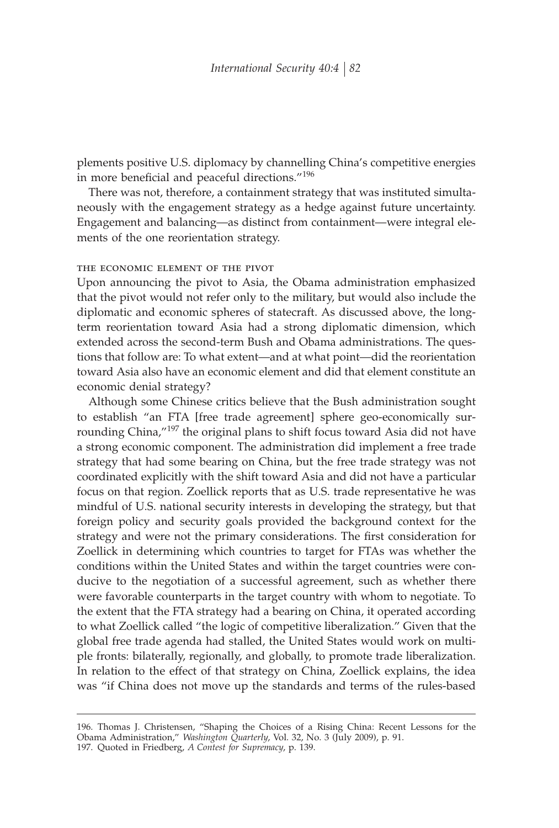plements positive U.S. diplomacy by channelling China's competitive energies in more beneficial and peaceful directions."<sup>196</sup>

There was not, therefore, a containment strategy that was instituted simultaneously with the engagement strategy as a hedge against future uncertainty. Engagement and balancing—as distinct from containment—were integral elements of the one reorientation strategy.

#### the economic element of the pivot

Upon announcing the pivot to Asia, the Obama administration emphasized that the pivot would not refer only to the military, but would also include the diplomatic and economic spheres of statecraft. As discussed above, the longterm reorientation toward Asia had a strong diplomatic dimension, which extended across the second-term Bush and Obama administrations. The questions that follow are: To what extent—and at what point—did the reorientation toward Asia also have an economic element and did that element constitute an economic denial strategy?

Although some Chinese critics believe that the Bush administration sought to establish "an FTA [free trade agreement] sphere geo-economically surrounding China,"<sup>197</sup> the original plans to shift focus toward Asia did not have a strong economic component. The administration did implement a free trade strategy that had some bearing on China, but the free trade strategy was not coordinated explicitly with the shift toward Asia and did not have a particular focus on that region. Zoellick reports that as U.S. trade representative he was mindful of U.S. national security interests in developing the strategy, but that foreign policy and security goals provided the background context for the strategy and were not the primary considerations. The first consideration for Zoellick in determining which countries to target for FTAs was whether the conditions within the United States and within the target countries were conducive to the negotiation of a successful agreement, such as whether there were favorable counterparts in the target country with whom to negotiate. To the extent that the FTA strategy had a bearing on China, it operated according to what Zoellick called "the logic of competitive liberalization." Given that the global free trade agenda had stalled, the United States would work on multiple fronts: bilaterally, regionally, and globally, to promote trade liberalization. In relation to the effect of that strategy on China, Zoellick explains, the idea was "if China does not move up the standards and terms of the rules-based

<sup>196.</sup> Thomas J. Christensen, "Shaping the Choices of a Rising China: Recent Lessons for the Obama Administration," *Washington Quarterly*, Vol. 32, No. 3 (July 2009), p. 91. 197. Quoted in Friedberg, *A Contest for Supremacy*, p. 139.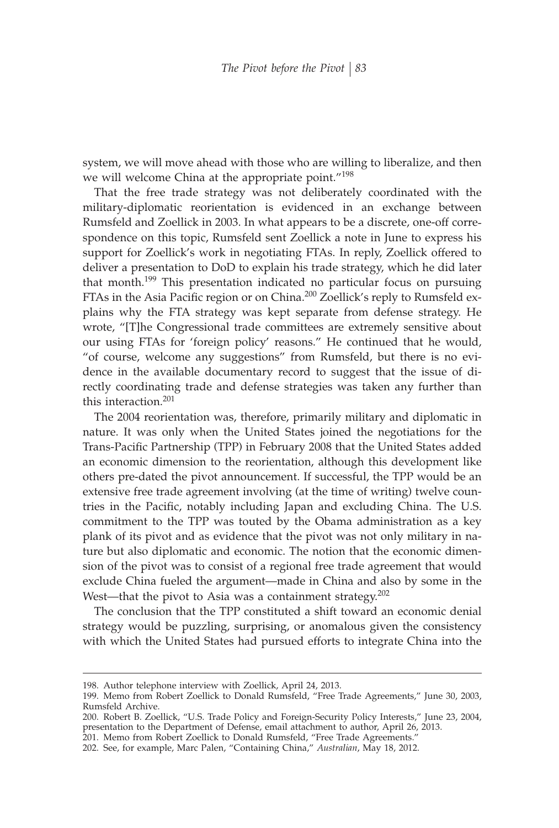system, we will move ahead with those who are willing to liberalize, and then we will welcome China at the appropriate point."<sup>198</sup>

That the free trade strategy was not deliberately coordinated with the military-diplomatic reorientation is evidenced in an exchange between Rumsfeld and Zoellick in 2003. In what appears to be a discrete, one-off correspondence on this topic, Rumsfeld sent Zoellick a note in June to express his support for Zoellick's work in negotiating FTAs. In reply, Zoellick offered to deliver a presentation to DoD to explain his trade strategy, which he did later that month.<sup>199</sup> This presentation indicated no particular focus on pursuing FTAs in the Asia Pacific region or on China.<sup>200</sup> Zoellick's reply to Rumsfeld explains why the FTA strategy was kept separate from defense strategy. He wrote, "[T]he Congressional trade committees are extremely sensitive about our using FTAs for 'foreign policy' reasons." He continued that he would, "of course, welcome any suggestions" from Rumsfeld, but there is no evidence in the available documentary record to suggest that the issue of directly coordinating trade and defense strategies was taken any further than this interaction  $201$ 

The 2004 reorientation was, therefore, primarily military and diplomatic in nature. It was only when the United States joined the negotiations for the Trans-Pacific Partnership (TPP) in February 2008 that the United States added an economic dimension to the reorientation, although this development like others pre-dated the pivot announcement. If successful, the TPP would be an extensive free trade agreement involving (at the time of writing) twelve countries in the Pacific, notably including Japan and excluding China. The U.S. commitment to the TPP was touted by the Obama administration as a key plank of its pivot and as evidence that the pivot was not only military in nature but also diplomatic and economic. The notion that the economic dimension of the pivot was to consist of a regional free trade agreement that would exclude China fueled the argument—made in China and also by some in the West—that the pivot to Asia was a containment strategy.<sup>202</sup>

The conclusion that the TPP constituted a shift toward an economic denial strategy would be puzzling, surprising, or anomalous given the consistency with which the United States had pursued efforts to integrate China into the

<sup>198.</sup> Author telephone interview with Zoellick, April 24, 2013.

<sup>199.</sup> Memo from Robert Zoellick to Donald Rumsfeld, "Free Trade Agreements," June 30, 2003, Rumsfeld Archive.

<sup>200.</sup> Robert B. Zoellick, "U.S. Trade Policy and Foreign-Security Policy Interests," June 23, 2004, presentation to the Department of Defense, email attachment to author, April 26, 2013.

<sup>201.</sup> Memo from Robert Zoellick to Donald Rumsfeld, "Free Trade Agreements."

<sup>202.</sup> See, for example, Marc Palen, "Containing China," *Australian*, May 18, 2012.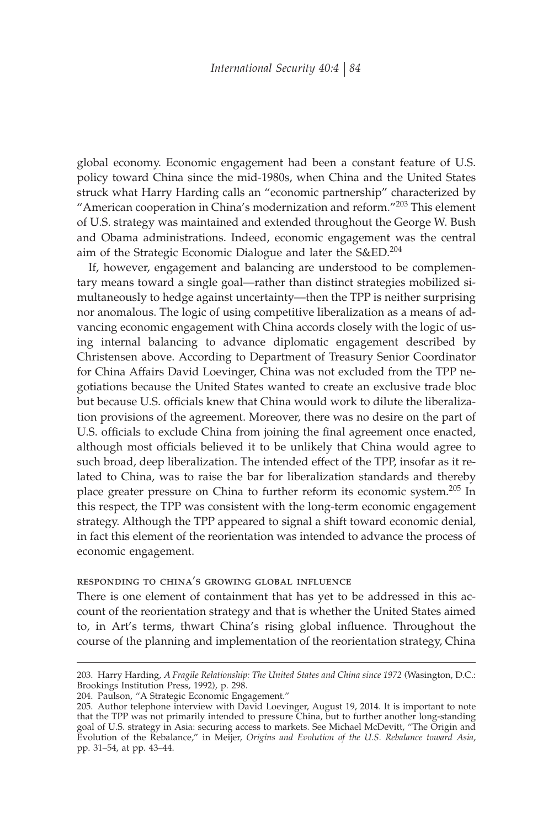global economy. Economic engagement had been a constant feature of U.S. policy toward China since the mid-1980s, when China and the United States struck what Harry Harding calls an "economic partnership" characterized by "American cooperation in China's modernization and reform."<sup>203</sup> This element of U.S. strategy was maintained and extended throughout the George W. Bush and Obama administrations. Indeed, economic engagement was the central aim of the Strategic Economic Dialogue and later the S&ED.<sup>204</sup>

If, however, engagement and balancing are understood to be complementary means toward a single goal—rather than distinct strategies mobilized simultaneously to hedge against uncertainty—then the TPP is neither surprising nor anomalous. The logic of using competitive liberalization as a means of advancing economic engagement with China accords closely with the logic of using internal balancing to advance diplomatic engagement described by Christensen above. According to Department of Treasury Senior Coordinator for China Affairs David Loevinger, China was not excluded from the TPP negotiations because the United States wanted to create an exclusive trade bloc but because U.S. officials knew that China would work to dilute the liberalization provisions of the agreement. Moreover, there was no desire on the part of U.S. officials to exclude China from joining the final agreement once enacted, although most officials believed it to be unlikely that China would agree to such broad, deep liberalization. The intended effect of the TPP, insofar as it related to China, was to raise the bar for liberalization standards and thereby place greater pressure on China to further reform its economic system.<sup>205</sup> In this respect, the TPP was consistent with the long-term economic engagement strategy. Although the TPP appeared to signal a shift toward economic denial, in fact this element of the reorientation was intended to advance the process of economic engagement.

#### RESPONDING TO CHINA'S GROWING GLOBAL INFLUENCE

There is one element of containment that has yet to be addressed in this account of the reorientation strategy and that is whether the United States aimed to, in Art's terms, thwart China's rising global influence. Throughout the course of the planning and implementation of the reorientation strategy, China

<sup>203.</sup> Harry Harding, *A Fragile Relationship: The United States and China since 1972* (Wasington, D.C.: Brookings Institution Press, 1992), p. 298.

<sup>204.</sup> Paulson, "A Strategic Economic Engagement."

<sup>205.</sup> Author telephone interview with David Loevinger, August 19, 2014. It is important to note that the TPP was not primarily intended to pressure China, but to further another long-standing goal of U.S. strategy in Asia: securing access to markets. See Michael McDevitt, "The Origin and Evolution of the Rebalance," in Meijer, *Origins and Evolution of the U.S. Rebalance toward Asia*, pp. 31–54, at pp. 43–44.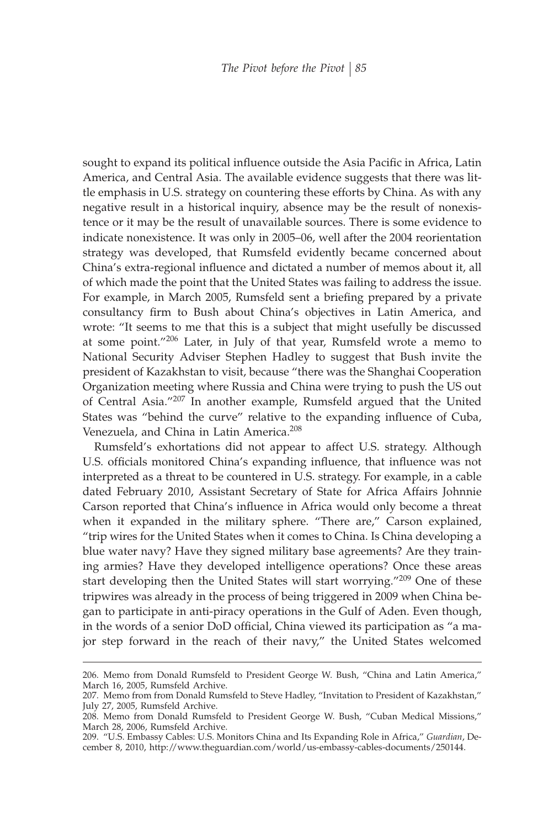sought to expand its political influence outside the Asia Pacific in Africa, Latin America, and Central Asia. The available evidence suggests that there was little emphasis in U.S. strategy on countering these efforts by China. As with any negative result in a historical inquiry, absence may be the result of nonexistence or it may be the result of unavailable sources. There is some evidence to indicate nonexistence. It was only in 2005–06, well after the 2004 reorientation strategy was developed, that Rumsfeld evidently became concerned about China's extra-regional influence and dictated a number of memos about it, all of which made the point that the United States was failing to address the issue. For example, in March 2005, Rumsfeld sent a briefing prepared by a private consultancy firm to Bush about China's objectives in Latin America, and wrote: "It seems to me that this is a subject that might usefully be discussed at some point."<sup>206</sup> Later, in July of that year, Rumsfeld wrote a memo to National Security Adviser Stephen Hadley to suggest that Bush invite the president of Kazakhstan to visit, because "there was the Shanghai Cooperation Organization meeting where Russia and China were trying to push the US out of Central Asia."<sup>207</sup> In another example, Rumsfeld argued that the United States was "behind the curve" relative to the expanding influence of Cuba, Venezuela, and China in Latin America.<sup>208</sup>

Rumsfeld's exhortations did not appear to affect U.S. strategy. Although U.S. officials monitored China's expanding influence, that influence was not interpreted as a threat to be countered in U.S. strategy. For example, in a cable dated February 2010, Assistant Secretary of State for Africa Affairs Johnnie Carson reported that China's influence in Africa would only become a threat when it expanded in the military sphere. "There are," Carson explained, "trip wires for the United States when it comes to China. Is China developing a blue water navy? Have they signed military base agreements? Are they training armies? Have they developed intelligence operations? Once these areas start developing then the United States will start worrying."<sup>209</sup> One of these tripwires was already in the process of being triggered in 2009 when China began to participate in anti-piracy operations in the Gulf of Aden. Even though, in the words of a senior DoD official, China viewed its participation as "a major step forward in the reach of their navy," the United States welcomed

<sup>206.</sup> Memo from Donald Rumsfeld to President George W. Bush, "China and Latin America," March 16, 2005, Rumsfeld Archive.

<sup>207.</sup> Memo from from Donald Rumsfeld to Steve Hadley, "Invitation to President of Kazakhstan," July 27, 2005, Rumsfeld Archive.

<sup>208.</sup> Memo from Donald Rumsfeld to President George W. Bush, "Cuban Medical Missions," March 28, 2006, Rumsfeld Archive.

<sup>209. &</sup>quot;U.S. Embassy Cables: U.S. Monitors China and Its Expanding Role in Africa," *Guardian*, December 8, 2010, http://www.theguardian.com/world/us-embassy-cables-documents/250144.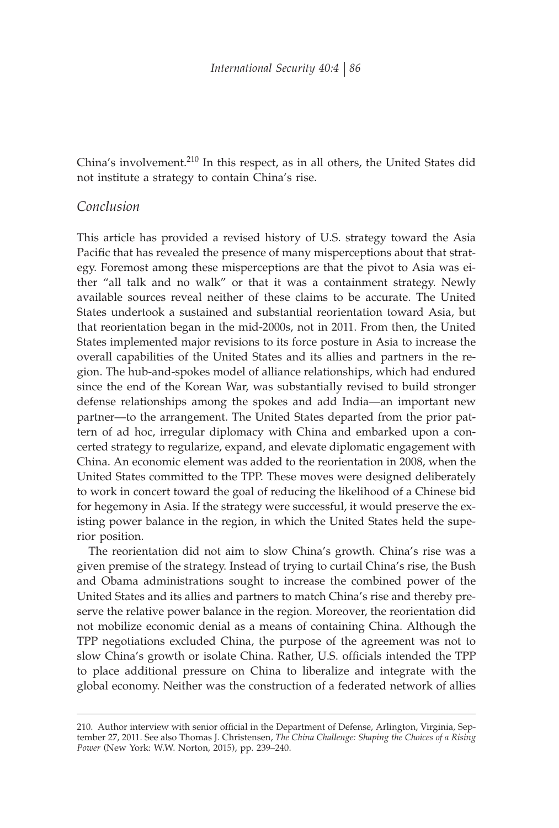China's involvement.<sup>210</sup> In this respect, as in all others, the United States did not institute a strategy to contain China's rise.

## *Conclusion*

This article has provided a revised history of U.S. strategy toward the Asia Pacific that has revealed the presence of many misperceptions about that strategy. Foremost among these misperceptions are that the pivot to Asia was either "all talk and no walk" or that it was a containment strategy. Newly available sources reveal neither of these claims to be accurate. The United States undertook a sustained and substantial reorientation toward Asia, but that reorientation began in the mid-2000s, not in 2011. From then, the United States implemented major revisions to its force posture in Asia to increase the overall capabilities of the United States and its allies and partners in the region. The hub-and-spokes model of alliance relationships, which had endured since the end of the Korean War, was substantially revised to build stronger defense relationships among the spokes and add India—an important new partner—to the arrangement. The United States departed from the prior pattern of ad hoc, irregular diplomacy with China and embarked upon a concerted strategy to regularize, expand, and elevate diplomatic engagement with China. An economic element was added to the reorientation in 2008, when the United States committed to the TPP. These moves were designed deliberately to work in concert toward the goal of reducing the likelihood of a Chinese bid for hegemony in Asia. If the strategy were successful, it would preserve the existing power balance in the region, in which the United States held the superior position.

The reorientation did not aim to slow China's growth. China's rise was a given premise of the strategy. Instead of trying to curtail China's rise, the Bush and Obama administrations sought to increase the combined power of the United States and its allies and partners to match China's rise and thereby preserve the relative power balance in the region. Moreover, the reorientation did not mobilize economic denial as a means of containing China. Although the TPP negotiations excluded China, the purpose of the agreement was not to slow China's growth or isolate China. Rather, U.S. officials intended the TPP to place additional pressure on China to liberalize and integrate with the global economy. Neither was the construction of a federated network of allies

<sup>210.</sup> Author interview with senior official in the Department of Defense, Arlington, Virginia, September 27, 2011. See also Thomas J. Christensen, *The China Challenge: Shaping the Choices of a Rising Power* (New York: W.W. Norton, 2015), pp. 239–240.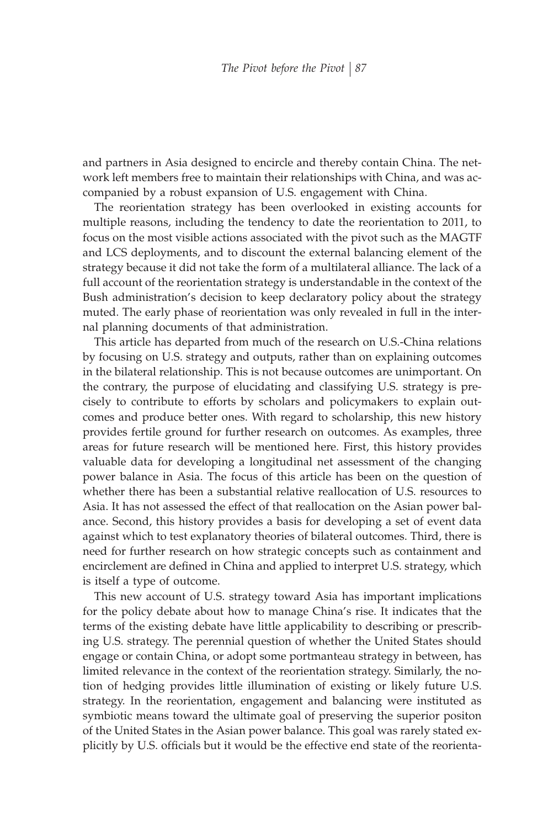and partners in Asia designed to encircle and thereby contain China. The network left members free to maintain their relationships with China, and was accompanied by a robust expansion of U.S. engagement with China.

The reorientation strategy has been overlooked in existing accounts for multiple reasons, including the tendency to date the reorientation to 2011, to focus on the most visible actions associated with the pivot such as the MAGTF and LCS deployments, and to discount the external balancing element of the strategy because it did not take the form of a multilateral alliance. The lack of a full account of the reorientation strategy is understandable in the context of the Bush administration's decision to keep declaratory policy about the strategy muted. The early phase of reorientation was only revealed in full in the internal planning documents of that administration.

This article has departed from much of the research on U.S.-China relations by focusing on U.S. strategy and outputs, rather than on explaining outcomes in the bilateral relationship. This is not because outcomes are unimportant. On the contrary, the purpose of elucidating and classifying U.S. strategy is precisely to contribute to efforts by scholars and policymakers to explain outcomes and produce better ones. With regard to scholarship, this new history provides fertile ground for further research on outcomes. As examples, three areas for future research will be mentioned here. First, this history provides valuable data for developing a longitudinal net assessment of the changing power balance in Asia. The focus of this article has been on the question of whether there has been a substantial relative reallocation of U.S. resources to Asia. It has not assessed the effect of that reallocation on the Asian power balance. Second, this history provides a basis for developing a set of event data against which to test explanatory theories of bilateral outcomes. Third, there is need for further research on how strategic concepts such as containment and encirclement are defined in China and applied to interpret U.S. strategy, which is itself a type of outcome.

This new account of U.S. strategy toward Asia has important implications for the policy debate about how to manage China's rise. It indicates that the terms of the existing debate have little applicability to describing or prescribing U.S. strategy. The perennial question of whether the United States should engage or contain China, or adopt some portmanteau strategy in between, has limited relevance in the context of the reorientation strategy. Similarly, the notion of hedging provides little illumination of existing or likely future U.S. strategy. In the reorientation, engagement and balancing were instituted as symbiotic means toward the ultimate goal of preserving the superior positon of the United States in the Asian power balance. This goal was rarely stated explicitly by U.S. officials but it would be the effective end state of the reorienta